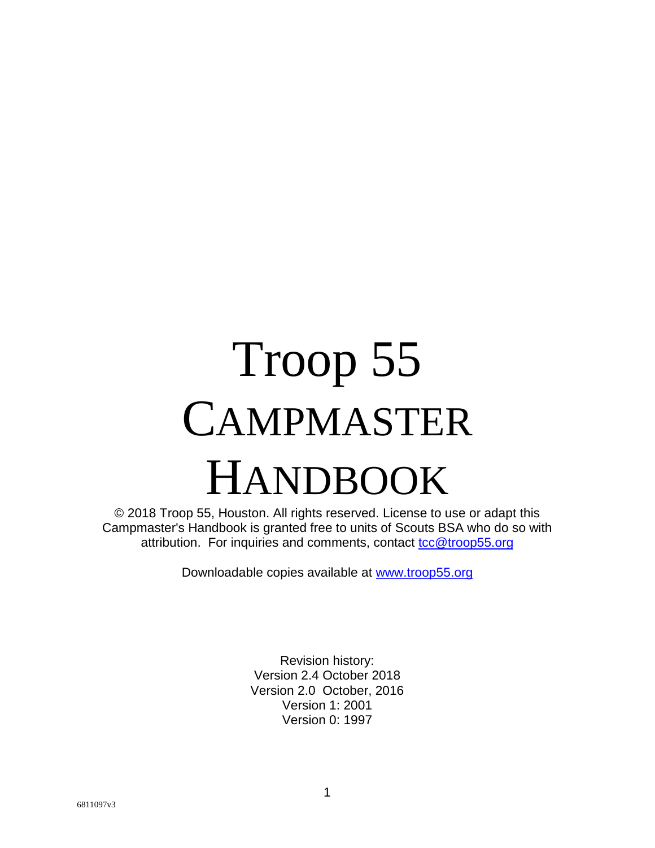# Troop 55 CAMPMASTER HANDBOOK

© 2018 Troop 55, Houston. All rights reserved. License to use or adapt this Campmaster's Handbook is granted free to units of Scouts BSA who do so with attribution. For inquiries and comments, contact tcc@troop55.org

Downloadable copies available at www.troop55.org

Revision history: Version 2.4 October 2018 Version 2.0 October, 2016 Version 1: 2001 Version 0: 1997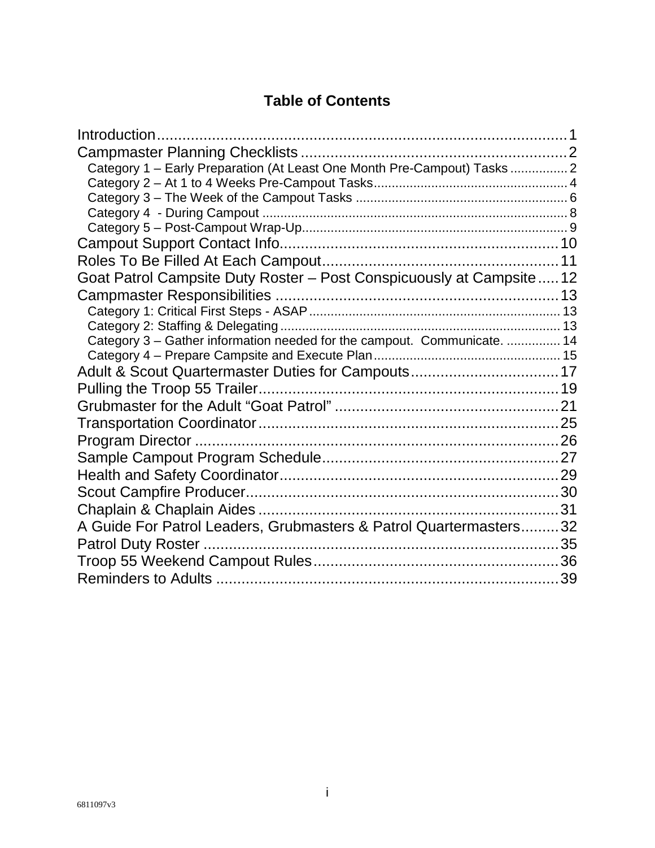## **Table of Contents**

| Introduction                                                             |  |
|--------------------------------------------------------------------------|--|
|                                                                          |  |
| Category 1 - Early Preparation (At Least One Month Pre-Campout) Tasks  2 |  |
|                                                                          |  |
|                                                                          |  |
|                                                                          |  |
|                                                                          |  |
|                                                                          |  |
|                                                                          |  |
| Goat Patrol Campsite Duty Roster - Post Conspicuously at Campsite  12    |  |
|                                                                          |  |
|                                                                          |  |
|                                                                          |  |
| Category 3 - Gather information needed for the campout. Communicate.  14 |  |
|                                                                          |  |
|                                                                          |  |
|                                                                          |  |
|                                                                          |  |
|                                                                          |  |
|                                                                          |  |
|                                                                          |  |
|                                                                          |  |
|                                                                          |  |
|                                                                          |  |
| A Guide For Patrol Leaders, Grubmasters & Patrol Quartermasters32        |  |
|                                                                          |  |
|                                                                          |  |
|                                                                          |  |
|                                                                          |  |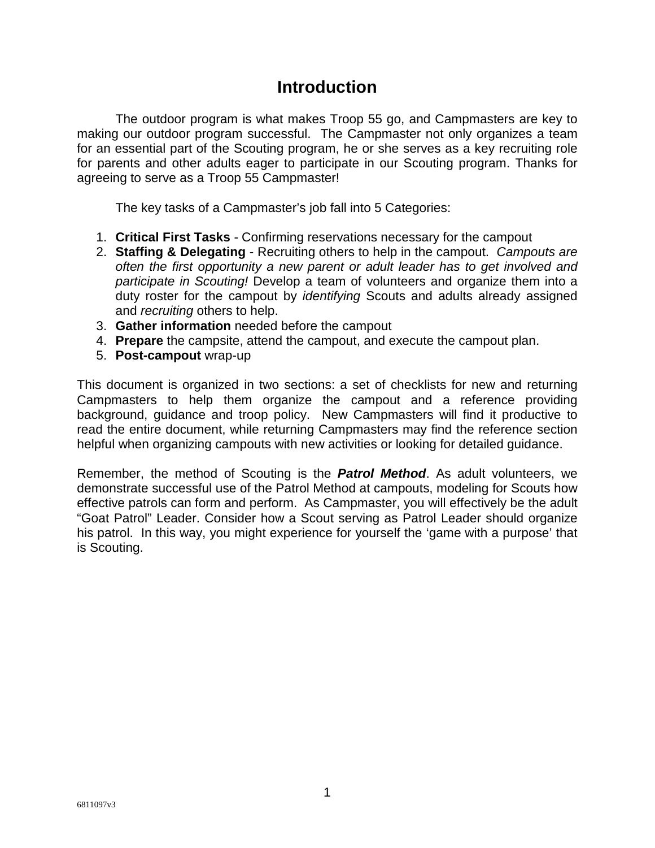## **Introduction**

The outdoor program is what makes Troop 55 go, and Campmasters are key to making our outdoor program successful. The Campmaster not only organizes a team for an essential part of the Scouting program, he or she serves as a key recruiting role for parents and other adults eager to participate in our Scouting program. Thanks for agreeing to serve as a Troop 55 Campmaster!

The key tasks of a Campmaster's job fall into 5 Categories:

- 1. **Critical First Tasks** Confirming reservations necessary for the campout
- 2. **Staffing & Delegating** Recruiting others to help in the campout. *Campouts are often the first opportunity a new parent or adult leader has to get involved and participate in Scouting!* Develop a team of volunteers and organize them into a duty roster for the campout by *identifying* Scouts and adults already assigned and *recruiting* others to help.
- 3. **Gather information** needed before the campout
- 4. **Prepare** the campsite, attend the campout, and execute the campout plan.
- 5. **Post-campout** wrap-up

This document is organized in two sections: a set of checklists for new and returning Campmasters to help them organize the campout and a reference providing background, guidance and troop policy. New Campmasters will find it productive to read the entire document, while returning Campmasters may find the reference section helpful when organizing campouts with new activities or looking for detailed guidance.

Remember, the method of Scouting is the *Patrol Method*. As adult volunteers, we demonstrate successful use of the Patrol Method at campouts, modeling for Scouts how effective patrols can form and perform. As Campmaster, you will effectively be the adult "Goat Patrol" Leader. Consider how a Scout serving as Patrol Leader should organize his patrol. In this way, you might experience for yourself the 'game with a purpose' that is Scouting.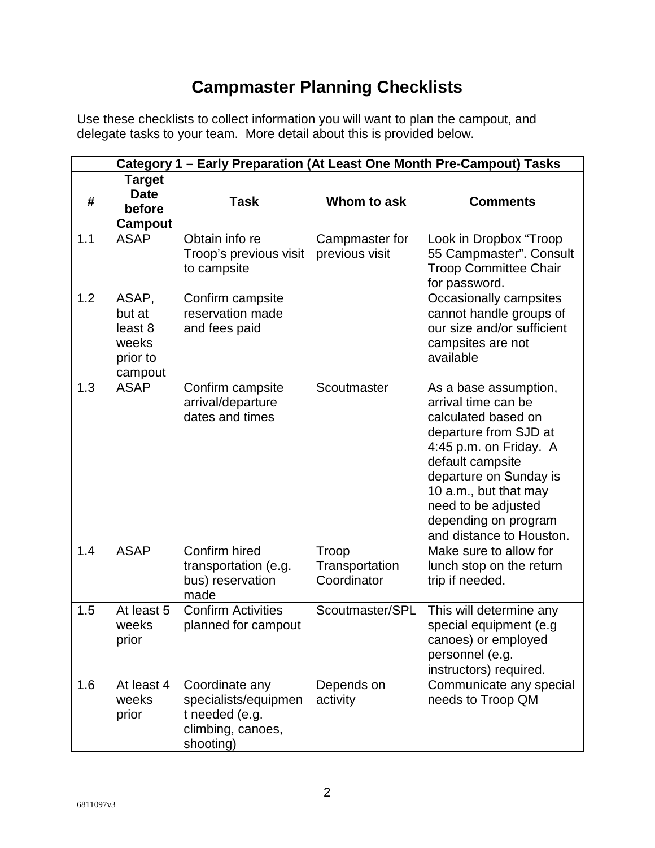# **Campmaster Planning Checklists**

Use these checklists to collect information you will want to plan the campout, and delegate tasks to your team. More detail about this is provided below.

|     | Category 1 - Early Preparation (At Least One Month Pre-Campout) Tasks |                                                                                            |                                        |                                                                                                                                                                                                                                                                          |  |
|-----|-----------------------------------------------------------------------|--------------------------------------------------------------------------------------------|----------------------------------------|--------------------------------------------------------------------------------------------------------------------------------------------------------------------------------------------------------------------------------------------------------------------------|--|
| #   | <b>Target</b><br><b>Date</b><br>before                                | <b>Task</b>                                                                                | Whom to ask                            | <b>Comments</b>                                                                                                                                                                                                                                                          |  |
|     | <b>Campout</b>                                                        |                                                                                            |                                        |                                                                                                                                                                                                                                                                          |  |
| 1.1 | <b>ASAP</b>                                                           | Obtain info re<br>Troop's previous visit<br>to campsite                                    | Campmaster for<br>previous visit       | Look in Dropbox "Troop<br>55 Campmaster". Consult<br><b>Troop Committee Chair</b><br>for password.                                                                                                                                                                       |  |
| 1.2 | ASAP,<br>but at<br>least 8<br>weeks<br>prior to<br>campout            | Confirm campsite<br>reservation made<br>and fees paid                                      |                                        | Occasionally campsites<br>cannot handle groups of<br>our size and/or sufficient<br>campsites are not<br>available                                                                                                                                                        |  |
| 1.3 | <b>ASAP</b>                                                           | Confirm campsite<br>arrival/departure<br>dates and times                                   | Scoutmaster                            | As a base assumption,<br>arrival time can be<br>calculated based on<br>departure from SJD at<br>4:45 p.m. on Friday. A<br>default campsite<br>departure on Sunday is<br>10 a.m., but that may<br>need to be adjusted<br>depending on program<br>and distance to Houston. |  |
| 1.4 | <b>ASAP</b>                                                           | Confirm hired<br>transportation (e.g.<br>bus) reservation<br>made                          | Troop<br>Transportation<br>Coordinator | Make sure to allow for<br>lunch stop on the return<br>trip if needed.                                                                                                                                                                                                    |  |
| 1.5 | At least 5<br>weeks<br>prior                                          | <b>Confirm Activities</b><br>planned for campout                                           | Scoutmaster/SPL                        | This will determine any<br>special equipment (e.g<br>canoes) or employed<br>personnel (e.g.<br>instructors) required.                                                                                                                                                    |  |
| 1.6 | At least 4<br>weeks<br>prior                                          | Coordinate any<br>specialists/equipmen<br>t needed (e.g.<br>climbing, canoes,<br>shooting) | Depends on<br>activity                 | Communicate any special<br>needs to Troop QM                                                                                                                                                                                                                             |  |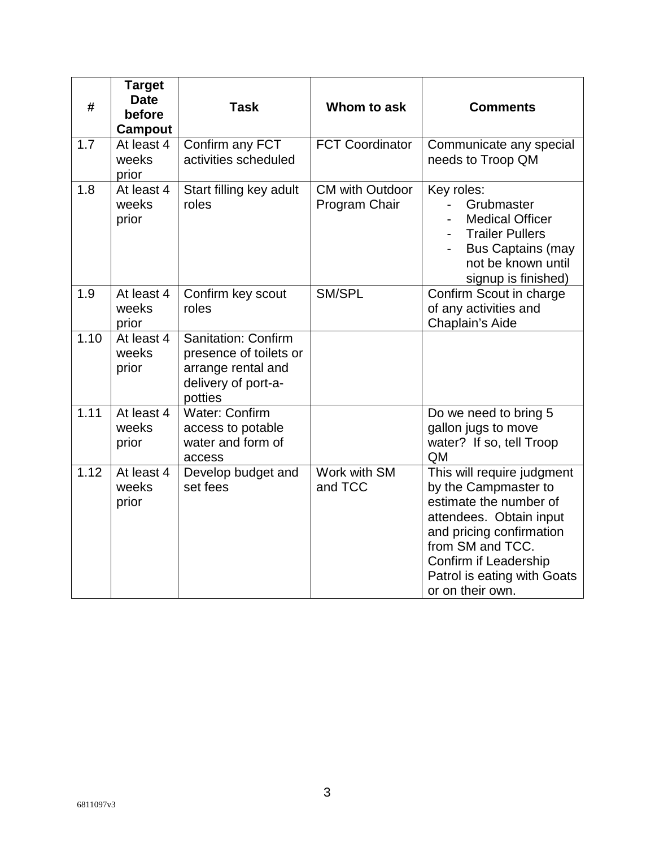| #    | <b>Target</b><br><b>Date</b><br>before<br>Campout | <b>Task</b>                                                                                                  | Whom to ask                             | <b>Comments</b>                                                                                                                                                                                                                     |
|------|---------------------------------------------------|--------------------------------------------------------------------------------------------------------------|-----------------------------------------|-------------------------------------------------------------------------------------------------------------------------------------------------------------------------------------------------------------------------------------|
| 1.7  | At least 4<br>weeks<br>prior                      | Confirm any FCT<br>activities scheduled                                                                      | <b>FCT Coordinator</b>                  | Communicate any special<br>needs to Troop QM                                                                                                                                                                                        |
| 1.8  | At least 4<br>weeks<br>prior                      | Start filling key adult<br>roles                                                                             | <b>CM with Outdoor</b><br>Program Chair | Key roles:<br>Grubmaster<br><b>Medical Officer</b><br><b>Trailer Pullers</b><br><b>Bus Captains (may</b><br>not be known until<br>signup is finished)                                                                               |
| 1.9  | At least 4<br>weeks<br>prior                      | Confirm key scout<br>roles                                                                                   | SM/SPL                                  | Confirm Scout in charge<br>of any activities and<br>Chaplain's Aide                                                                                                                                                                 |
| 1.10 | At least 4<br>weeks<br>prior                      | <b>Sanitation: Confirm</b><br>presence of toilets or<br>arrange rental and<br>delivery of port-a-<br>potties |                                         |                                                                                                                                                                                                                                     |
| 1.11 | At least 4<br>weeks<br>prior                      | <b>Water: Confirm</b><br>access to potable<br>water and form of<br>access                                    |                                         | Do we need to bring 5<br>gallon jugs to move<br>water? If so, tell Troop<br>QM                                                                                                                                                      |
| 1.12 | At least 4<br>weeks<br>prior                      | Develop budget and<br>set fees                                                                               | Work with SM<br>and TCC                 | This will require judgment<br>by the Campmaster to<br>estimate the number of<br>attendees. Obtain input<br>and pricing confirmation<br>from SM and TCC.<br>Confirm if Leadership<br>Patrol is eating with Goats<br>or on their own. |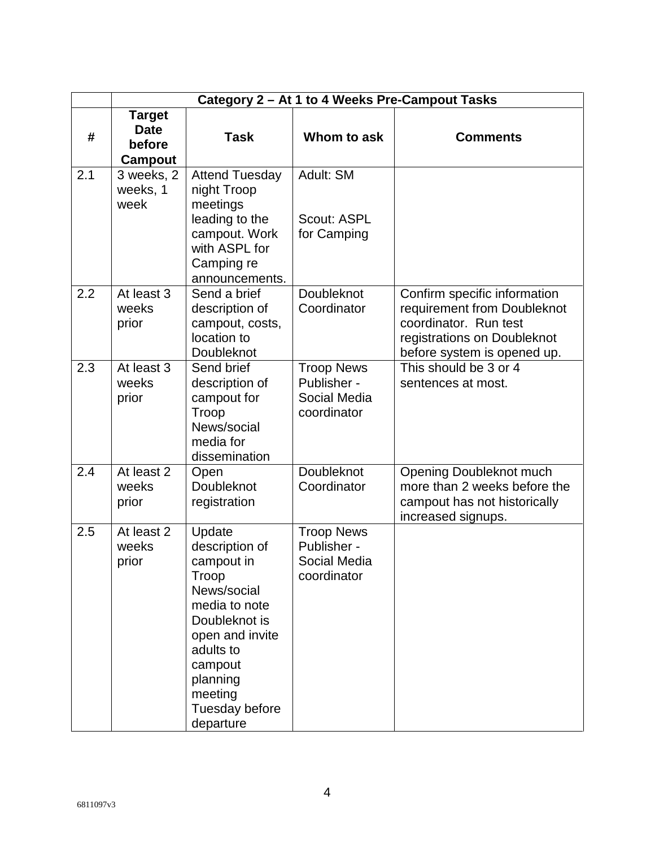|     | Category 2 - At 1 to 4 Weeks Pre-Campout Tasks    |                                                                                                                                                                                                   |                                                                 |                                                                                                                                                    |  |
|-----|---------------------------------------------------|---------------------------------------------------------------------------------------------------------------------------------------------------------------------------------------------------|-----------------------------------------------------------------|----------------------------------------------------------------------------------------------------------------------------------------------------|--|
| #   | <b>Target</b><br><b>Date</b><br>before<br>Campout | <b>Task</b>                                                                                                                                                                                       | Whom to ask                                                     | <b>Comments</b>                                                                                                                                    |  |
| 2.1 | 3 weeks, 2<br>weeks, 1<br>week                    | <b>Attend Tuesday</b><br>night Troop<br>meetings<br>leading to the<br>campout. Work<br>with ASPL for<br>Camping re<br>announcements.                                                              | Adult: SM<br>Scout: ASPL<br>for Camping                         |                                                                                                                                                    |  |
| 2.2 | At least 3<br>weeks<br>prior                      | Send a brief<br>description of<br>campout, costs,<br>location to<br>Doubleknot                                                                                                                    | <b>Doubleknot</b><br>Coordinator                                | Confirm specific information<br>requirement from Doubleknot<br>coordinator. Run test<br>registrations on Doubleknot<br>before system is opened up. |  |
| 2.3 | At least 3<br>weeks<br>prior                      | Send brief<br>description of<br>campout for<br>Troop<br>News/social<br>media for<br>dissemination                                                                                                 | <b>Troop News</b><br>Publisher -<br>Social Media<br>coordinator | This should be 3 or 4<br>sentences at most.                                                                                                        |  |
| 2.4 | At least 2<br>weeks<br>prior                      | Open<br>Doubleknot<br>registration                                                                                                                                                                | <b>Doubleknot</b><br>Coordinator                                | Opening Doubleknot much<br>more than 2 weeks before the<br>campout has not historically<br>increased signups.                                      |  |
| 2.5 | At least 2<br>weeks<br>prior                      | Update<br>description of<br>campout in<br>Troop<br>News/social<br>media to note<br>Doubleknot is<br>open and invite<br>adults to<br>campout<br>planning<br>meeting<br>Tuesday before<br>departure | <b>Troop News</b><br>Publisher -<br>Social Media<br>coordinator |                                                                                                                                                    |  |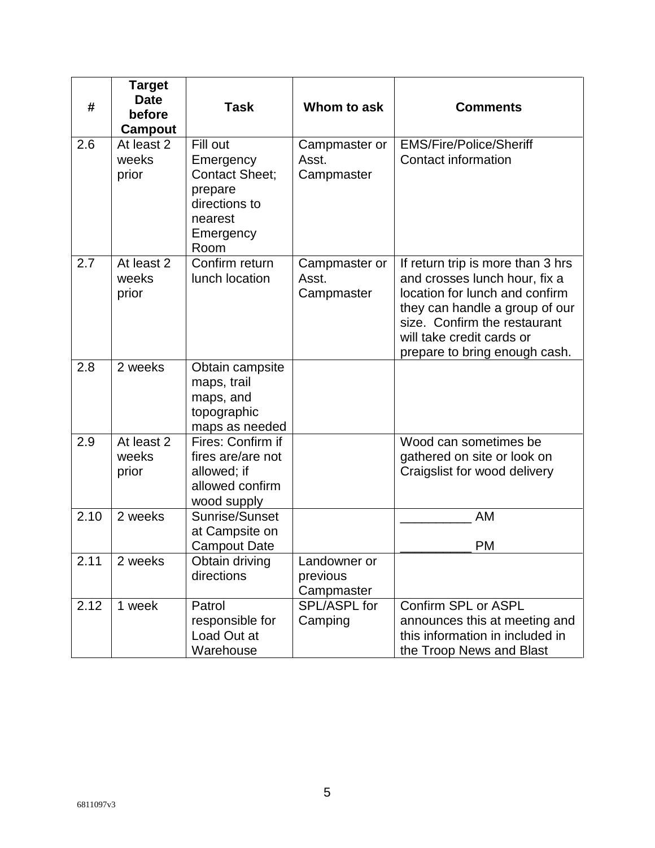| #    | <b>Target</b><br><b>Date</b><br>before<br>Campout | <b>Task</b>                                                                                                | Whom to ask                            | <b>Comments</b>                                                                                                                                                                                                                      |
|------|---------------------------------------------------|------------------------------------------------------------------------------------------------------------|----------------------------------------|--------------------------------------------------------------------------------------------------------------------------------------------------------------------------------------------------------------------------------------|
| 2.6  | At least 2<br>weeks<br>prior                      | Fill out<br>Emergency<br><b>Contact Sheet;</b><br>prepare<br>directions to<br>nearest<br>Emergency<br>Room | Campmaster or<br>Asst.<br>Campmaster   | <b>EMS/Fire/Police/Sheriff</b><br>Contact information                                                                                                                                                                                |
| 2.7  | At least 2<br>weeks<br>prior                      | Confirm return<br>lunch location                                                                           | Campmaster or<br>Asst.<br>Campmaster   | If return trip is more than 3 hrs<br>and crosses lunch hour, fix a<br>location for lunch and confirm<br>they can handle a group of our<br>size. Confirm the restaurant<br>will take credit cards or<br>prepare to bring enough cash. |
| 2.8  | 2 weeks                                           | Obtain campsite<br>maps, trail<br>maps, and<br>topographic<br>maps as needed                               |                                        |                                                                                                                                                                                                                                      |
| 2.9  | At least 2<br>weeks<br>prior                      | Fires: Confirm if<br>fires are/are not<br>allowed; if<br>allowed confirm<br>wood supply                    |                                        | Wood can sometimes be<br>gathered on site or look on<br>Craigslist for wood delivery                                                                                                                                                 |
| 2.10 | 2 weeks                                           | Sunrise/Sunset<br>at Campsite on<br><b>Campout Date</b>                                                    |                                        | AM<br><b>PM</b>                                                                                                                                                                                                                      |
| 2.11 | 2 weeks                                           | Obtain driving<br>directions                                                                               | Landowner or<br>previous<br>Campmaster |                                                                                                                                                                                                                                      |
| 2.12 | 1 week                                            | Patrol<br>responsible for<br>Load Out at<br>Warehouse                                                      | SPL/ASPL for<br>Camping                | Confirm SPL or ASPL<br>announces this at meeting and<br>this information in included in<br>the Troop News and Blast                                                                                                                  |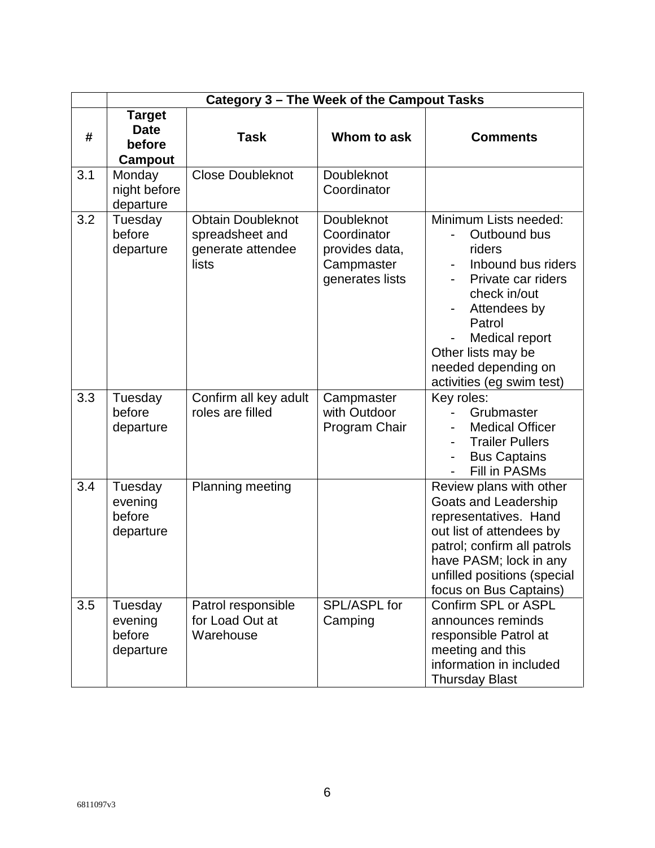|     | Category 3 - The Week of the Campout Tasks        |                                                                           |                                                                              |                                                                                                                                                                                                                                   |  |
|-----|---------------------------------------------------|---------------------------------------------------------------------------|------------------------------------------------------------------------------|-----------------------------------------------------------------------------------------------------------------------------------------------------------------------------------------------------------------------------------|--|
| #   | <b>Target</b><br><b>Date</b><br>before<br>Campout | <b>Task</b>                                                               | Whom to ask                                                                  | <b>Comments</b>                                                                                                                                                                                                                   |  |
| 3.1 | Monday<br>night before<br>departure               | <b>Close Doubleknot</b>                                                   | Doubleknot<br>Coordinator                                                    |                                                                                                                                                                                                                                   |  |
| 3.2 | Tuesday<br>before<br>departure                    | <b>Obtain Doubleknot</b><br>spreadsheet and<br>generate attendee<br>lists | Doubleknot<br>Coordinator<br>provides data,<br>Campmaster<br>generates lists | Minimum Lists needed:<br>Outbound bus<br>riders<br>Inbound bus riders<br>Private car riders<br>check in/out<br>Attendees by<br>Patrol<br>Medical report<br>Other lists may be<br>needed depending on<br>activities (eg swim test) |  |
| 3.3 | Tuesday<br>before<br>departure                    | Confirm all key adult<br>roles are filled                                 | Campmaster<br>with Outdoor<br>Program Chair                                  | Key roles:<br>Grubmaster<br><b>Medical Officer</b><br><b>Trailer Pullers</b><br><b>Bus Captains</b><br>Fill in PASMs                                                                                                              |  |
| 3.4 | Tuesday<br>evening<br>before<br>departure         | Planning meeting                                                          |                                                                              | Review plans with other<br>Goats and Leadership<br>representatives. Hand<br>out list of attendees by<br>patrol; confirm all patrols<br>have PASM; lock in any<br>unfilled positions (special<br>focus on Bus Captains)            |  |
| 3.5 | Tuesday<br>evening<br>before<br>departure         | Patrol responsible<br>for Load Out at<br>Warehouse                        | SPL/ASPL for<br>Camping                                                      | Confirm SPL or ASPL<br>announces reminds<br>responsible Patrol at<br>meeting and this<br>information in included<br><b>Thursday Blast</b>                                                                                         |  |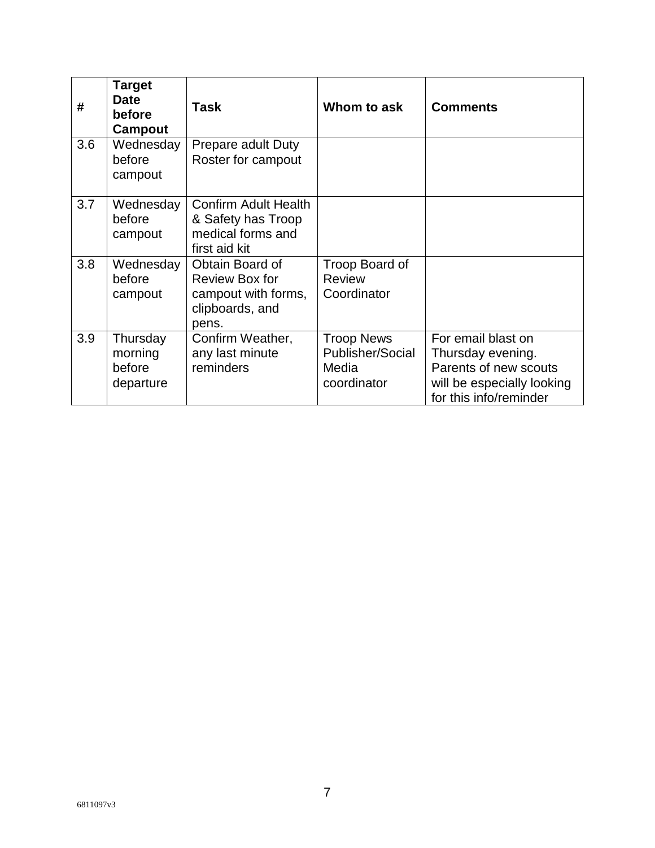| #   | <b>Target</b><br><b>Date</b><br>before<br>Campout | Task                                                                                    | Whom to ask                                                   | <b>Comments</b>                                                                                                          |
|-----|---------------------------------------------------|-----------------------------------------------------------------------------------------|---------------------------------------------------------------|--------------------------------------------------------------------------------------------------------------------------|
| 3.6 | Wednesday<br>before<br>campout                    | Prepare adult Duty<br>Roster for campout                                                |                                                               |                                                                                                                          |
| 3.7 | Wednesday<br>before<br>campout                    | <b>Confirm Adult Health</b><br>& Safety has Troop<br>medical forms and<br>first aid kit |                                                               |                                                                                                                          |
| 3.8 | Wednesday<br>before<br>campout                    | Obtain Board of<br>Review Box for<br>campout with forms,<br>clipboards, and<br>pens.    | Troop Board of<br><b>Review</b><br>Coordinator                |                                                                                                                          |
| 3.9 | Thursday<br>morning<br>before<br>departure        | Confirm Weather,<br>any last minute<br>reminders                                        | <b>Troop News</b><br>Publisher/Social<br>Media<br>coordinator | For email blast on<br>Thursday evening.<br>Parents of new scouts<br>will be especially looking<br>for this info/reminder |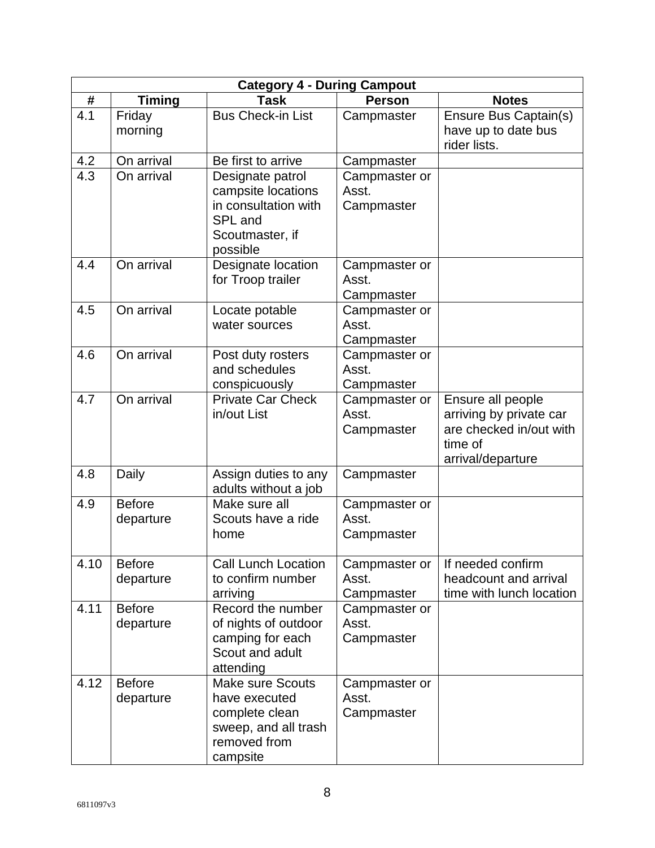| <b>Category 4 - During Campout</b> |                            |                                                                                                                |                                      |                                                                                                         |
|------------------------------------|----------------------------|----------------------------------------------------------------------------------------------------------------|--------------------------------------|---------------------------------------------------------------------------------------------------------|
| #                                  | <b>Timing</b>              | <b>Task</b>                                                                                                    | <b>Person</b>                        | <b>Notes</b>                                                                                            |
| 4.1                                | Friday<br>morning          | <b>Bus Check-in List</b>                                                                                       | Campmaster                           | Ensure Bus Captain(s)<br>have up to date bus<br>rider lists.                                            |
| 4.2                                | On arrival                 | Be first to arrive                                                                                             | Campmaster                           |                                                                                                         |
| 4.3                                | On arrival                 | Designate patrol<br>campsite locations<br>in consultation with<br>SPL and<br>Scoutmaster, if<br>possible       | Campmaster or<br>Asst.<br>Campmaster |                                                                                                         |
| 4.4                                | On arrival                 | Designate location<br>for Troop trailer                                                                        | Campmaster or<br>Asst.<br>Campmaster |                                                                                                         |
| 4.5                                | On arrival                 | Locate potable<br>water sources                                                                                | Campmaster or<br>Asst.<br>Campmaster |                                                                                                         |
| 4.6                                | On arrival                 | Post duty rosters<br>and schedules<br>conspicuously                                                            | Campmaster or<br>Asst.<br>Campmaster |                                                                                                         |
| 4.7                                | On arrival                 | <b>Private Car Check</b><br>in/out List                                                                        | Campmaster or<br>Asst.<br>Campmaster | Ensure all people<br>arriving by private car<br>are checked in/out with<br>time of<br>arrival/departure |
| 4.8                                | Daily                      | Assign duties to any<br>adults without a job                                                                   | Campmaster                           |                                                                                                         |
| 4.9                                | <b>Before</b><br>departure | Make sure all<br>Scouts have a ride<br>home                                                                    | Campmaster or<br>Asst.<br>Campmaster |                                                                                                         |
| 4.10                               | <b>Before</b><br>departure | <b>Call Lunch Location</b><br>to confirm number<br>arriving                                                    | Campmaster or<br>Asst.<br>Campmaster | If needed confirm<br>headcount and arrival<br>time with lunch location                                  |
| 4.11                               | <b>Before</b><br>departure | Record the number<br>of nights of outdoor<br>camping for each<br>Scout and adult<br>attending                  | Campmaster or<br>Asst.<br>Campmaster |                                                                                                         |
| 4.12                               | <b>Before</b><br>departure | <b>Make sure Scouts</b><br>have executed<br>complete clean<br>sweep, and all trash<br>removed from<br>campsite | Campmaster or<br>Asst.<br>Campmaster |                                                                                                         |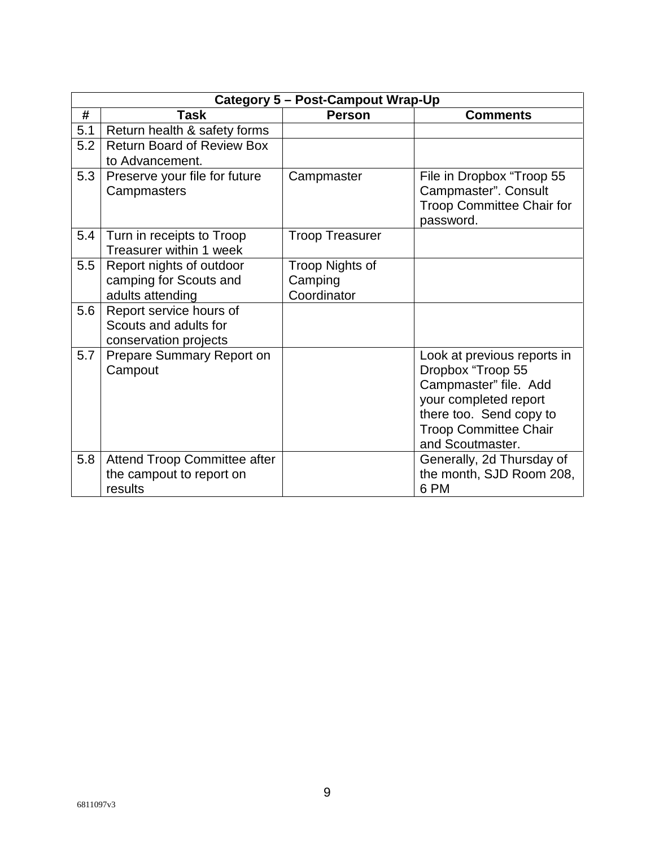|     | <b>Category 5 - Post-Campout Wrap-Up</b>                                  |                                           |                                                                                                                                                                                   |  |  |  |
|-----|---------------------------------------------------------------------------|-------------------------------------------|-----------------------------------------------------------------------------------------------------------------------------------------------------------------------------------|--|--|--|
| #   | <b>Task</b>                                                               | <b>Person</b>                             | <b>Comments</b>                                                                                                                                                                   |  |  |  |
| 5.1 | Return health & safety forms                                              |                                           |                                                                                                                                                                                   |  |  |  |
| 5.2 | <b>Return Board of Review Box</b>                                         |                                           |                                                                                                                                                                                   |  |  |  |
|     | to Advancement.                                                           |                                           |                                                                                                                                                                                   |  |  |  |
| 5.3 | Preserve your file for future<br>Campmasters                              | Campmaster                                | File in Dropbox "Troop 55<br>Campmaster". Consult<br><b>Troop Committee Chair for</b><br>password.                                                                                |  |  |  |
| 5.4 | Turn in receipts to Troop<br>Treasurer within 1 week                      | <b>Troop Treasurer</b>                    |                                                                                                                                                                                   |  |  |  |
| 5.5 | Report nights of outdoor<br>camping for Scouts and<br>adults attending    | Troop Nights of<br>Camping<br>Coordinator |                                                                                                                                                                                   |  |  |  |
| 5.6 | Report service hours of<br>Scouts and adults for<br>conservation projects |                                           |                                                                                                                                                                                   |  |  |  |
| 5.7 | Prepare Summary Report on<br>Campout                                      |                                           | Look at previous reports in<br>Dropbox "Troop 55<br>Campmaster" file. Add<br>your completed report<br>there too. Send copy to<br><b>Troop Committee Chair</b><br>and Scoutmaster. |  |  |  |
| 5.8 | Attend Troop Committee after<br>the campout to report on<br>results       |                                           | Generally, 2d Thursday of<br>the month, SJD Room 208,<br>6 PM                                                                                                                     |  |  |  |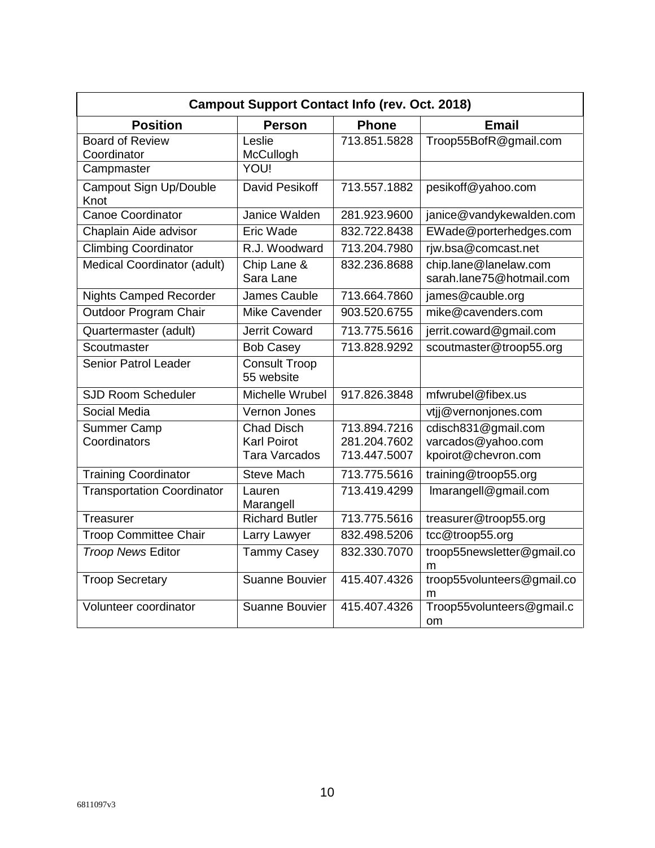| <b>Campout Support Contact Info (rev. Oct. 2018)</b> |                                                                 |                                              |                                                                  |
|------------------------------------------------------|-----------------------------------------------------------------|----------------------------------------------|------------------------------------------------------------------|
| <b>Position</b>                                      | <b>Person</b>                                                   | <b>Phone</b>                                 | <b>Email</b>                                                     |
| <b>Board of Review</b><br>Coordinator                | Leslie<br>McCullogh                                             | 713.851.5828                                 | Troop55BofR@gmail.com                                            |
| Campmaster                                           | <b>YOU!</b>                                                     |                                              |                                                                  |
| Campout Sign Up/Double<br>Knot                       | David Pesikoff                                                  | 713.557.1882                                 | pesikoff@yahoo.com                                               |
| <b>Canoe Coordinator</b>                             | Janice Walden                                                   | 281.923.9600                                 | janice@vandykewalden.com                                         |
| Chaplain Aide advisor                                | Eric Wade                                                       | 832.722.8438                                 | EWade@porterhedges.com                                           |
| <b>Climbing Coordinator</b>                          | R.J. Woodward                                                   | 713.204.7980                                 | rjw.bsa@comcast.net                                              |
| <b>Medical Coordinator (adult)</b>                   | Chip Lane &<br>Sara Lane                                        | 832.236.8688                                 | chip.lane@lanelaw.com<br>sarah.lane75@hotmail.com                |
| <b>Nights Camped Recorder</b>                        | <b>James Cauble</b>                                             | 713.664.7860                                 | james@cauble.org                                                 |
| Outdoor Program Chair                                | <b>Mike Cavender</b>                                            | 903.520.6755                                 | mike@cavenders.com                                               |
| Quartermaster (adult)                                | <b>Jerrit Coward</b>                                            | 713.775.5616                                 | jerrit.coward@gmail.com                                          |
| Scoutmaster                                          | <b>Bob Casey</b>                                                | 713.828.9292                                 | scoutmaster@troop55.org                                          |
| <b>Senior Patrol Leader</b>                          | <b>Consult Troop</b><br>55 website                              |                                              |                                                                  |
| <b>SJD Room Scheduler</b>                            | Michelle Wrubel                                                 | 917.826.3848                                 | mfwrubel@fibex.us                                                |
| Social Media                                         | Vernon Jones                                                    |                                              | vtjj@vernonjones.com                                             |
| <b>Summer Camp</b><br>Coordinators                   | <b>Chad Disch</b><br><b>Karl Poirot</b><br><b>Tara Varcados</b> | 713.894.7216<br>281.204.7602<br>713.447.5007 | cdisch831@gmail.com<br>varcados@yahoo.com<br>kpoirot@chevron.com |
| <b>Training Coordinator</b>                          | <b>Steve Mach</b>                                               | 713.775.5616                                 | training@troop55.org                                             |
| <b>Transportation Coordinator</b>                    | Lauren<br>Marangell                                             | 713.419.4299                                 | Imarangell@gmail.com                                             |
| Treasurer                                            | <b>Richard Butler</b>                                           | 713.775.5616                                 | treasurer@troop55.org                                            |
| <b>Troop Committee Chair</b>                         | Larry Lawyer                                                    | 832.498.5206                                 | tcc@troop55.org                                                  |
| <b>Troop News Editor</b>                             | <b>Tammy Casey</b>                                              | 832.330.7070                                 | troop55newsletter@gmail.co<br>m                                  |
| <b>Troop Secretary</b>                               | Suanne Bouvier                                                  | 415.407.4326                                 | troop55volunteers@gmail.co<br>m                                  |
| Volunteer coordinator                                | <b>Suanne Bouvier</b>                                           | 415.407.4326                                 | Troop55volunteers@gmail.c<br>om                                  |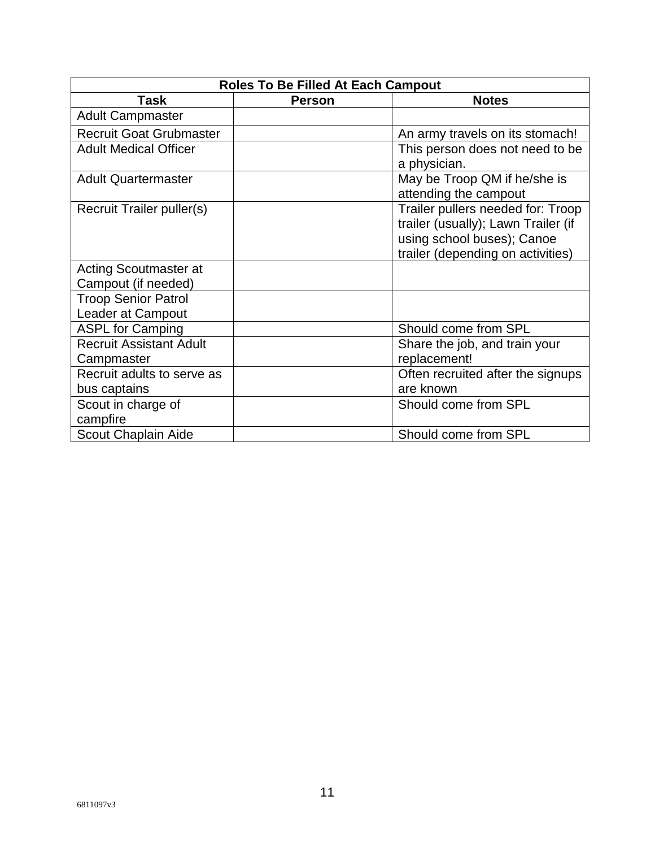| <b>Roles To Be Filled At Each Campout</b>              |               |                                                                                                                                             |  |  |
|--------------------------------------------------------|---------------|---------------------------------------------------------------------------------------------------------------------------------------------|--|--|
| <b>Task</b>                                            | <b>Person</b> | <b>Notes</b>                                                                                                                                |  |  |
| <b>Adult Campmaster</b>                                |               |                                                                                                                                             |  |  |
| <b>Recruit Goat Grubmaster</b>                         |               | An army travels on its stomach!                                                                                                             |  |  |
| <b>Adult Medical Officer</b>                           |               | This person does not need to be<br>a physician.                                                                                             |  |  |
| <b>Adult Quartermaster</b>                             |               | May be Troop QM if he/she is<br>attending the campout                                                                                       |  |  |
| Recruit Trailer puller(s)                              |               | Trailer pullers needed for: Troop<br>trailer (usually); Lawn Trailer (if<br>using school buses); Canoe<br>trailer (depending on activities) |  |  |
| Acting Scoutmaster at<br>Campout (if needed)           |               |                                                                                                                                             |  |  |
| <b>Troop Senior Patrol</b><br><b>Leader at Campout</b> |               |                                                                                                                                             |  |  |
| <b>ASPL for Camping</b>                                |               | Should come from SPL                                                                                                                        |  |  |
| <b>Recruit Assistant Adult</b><br>Campmaster           |               | Share the job, and train your<br>replacement!                                                                                               |  |  |
| Recruit adults to serve as<br>bus captains             |               | Often recruited after the signups<br>are known                                                                                              |  |  |
| Scout in charge of<br>campfire                         |               | Should come from SPL                                                                                                                        |  |  |
| Scout Chaplain Aide                                    |               | Should come from SPL                                                                                                                        |  |  |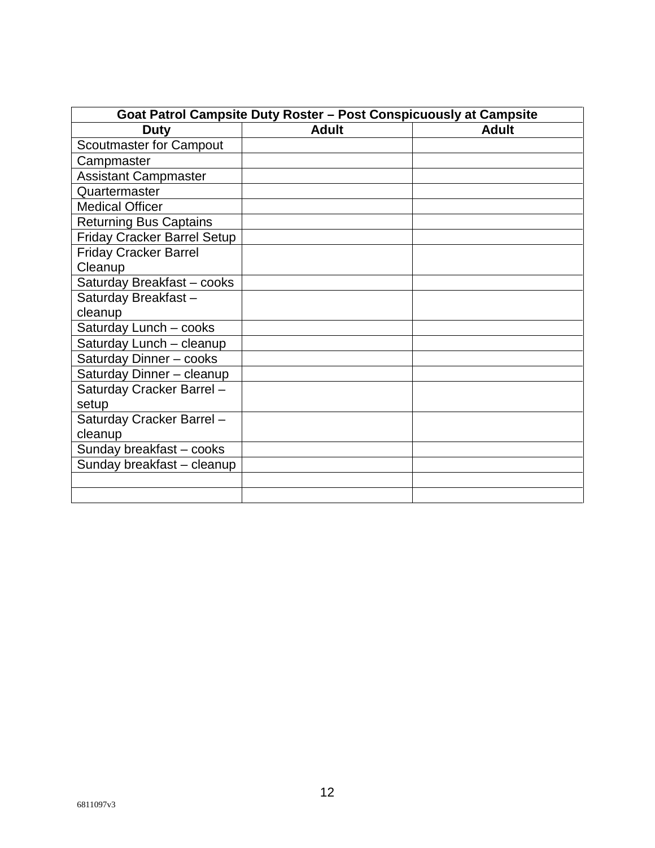| Goat Patrol Campsite Duty Roster - Post Conspicuously at Campsite |              |              |  |  |
|-------------------------------------------------------------------|--------------|--------------|--|--|
| <b>Duty</b>                                                       | <b>Adult</b> | <b>Adult</b> |  |  |
| <b>Scoutmaster for Campout</b>                                    |              |              |  |  |
| Campmaster                                                        |              |              |  |  |
| <b>Assistant Campmaster</b>                                       |              |              |  |  |
| Quartermaster                                                     |              |              |  |  |
| <b>Medical Officer</b>                                            |              |              |  |  |
| <b>Returning Bus Captains</b>                                     |              |              |  |  |
| <b>Friday Cracker Barrel Setup</b>                                |              |              |  |  |
| <b>Friday Cracker Barrel</b>                                      |              |              |  |  |
| Cleanup                                                           |              |              |  |  |
| Saturday Breakfast - cooks                                        |              |              |  |  |
| Saturday Breakfast-                                               |              |              |  |  |
| cleanup                                                           |              |              |  |  |
| Saturday Lunch - cooks                                            |              |              |  |  |
| Saturday Lunch - cleanup                                          |              |              |  |  |
| Saturday Dinner - cooks                                           |              |              |  |  |
| Saturday Dinner - cleanup                                         |              |              |  |  |
| Saturday Cracker Barrel-                                          |              |              |  |  |
| setup                                                             |              |              |  |  |
| Saturday Cracker Barrel-                                          |              |              |  |  |
| cleanup                                                           |              |              |  |  |
| Sunday breakfast - cooks                                          |              |              |  |  |
| Sunday breakfast - cleanup                                        |              |              |  |  |
|                                                                   |              |              |  |  |
|                                                                   |              |              |  |  |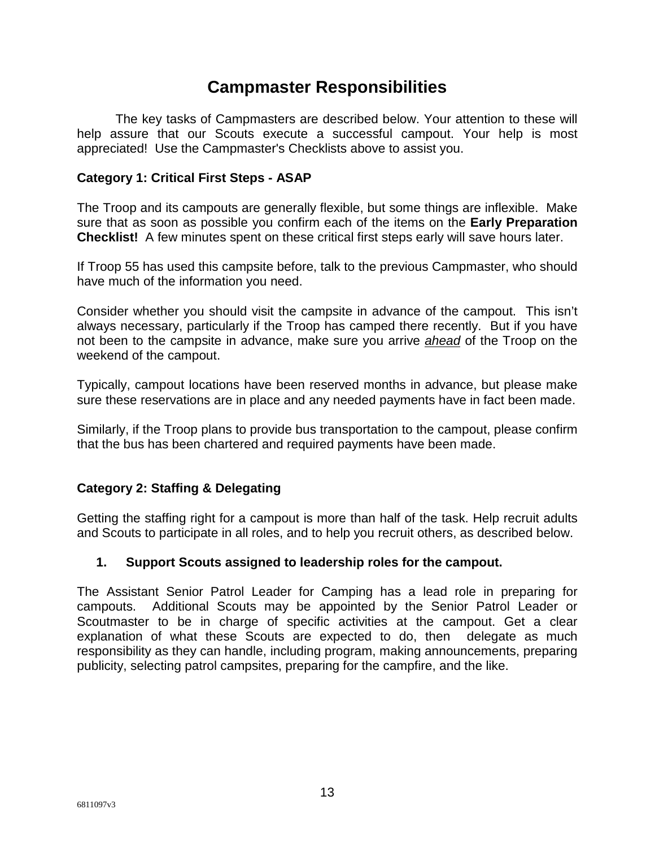## **Campmaster Responsibilities**

The key tasks of Campmasters are described below. Your attention to these will help assure that our Scouts execute a successful campout. Your help is most appreciated! Use the Campmaster's Checklists above to assist you.

#### **Category 1: Critical First Steps - ASAP**

The Troop and its campouts are generally flexible, but some things are inflexible. Make sure that as soon as possible you confirm each of the items on the **Early Preparation Checklist!** A few minutes spent on these critical first steps early will save hours later.

If Troop 55 has used this campsite before, talk to the previous Campmaster, who should have much of the information you need.

Consider whether you should visit the campsite in advance of the campout. This isn't always necessary, particularly if the Troop has camped there recently. But if you have not been to the campsite in advance, make sure you arrive *ahead* of the Troop on the weekend of the campout.

Typically, campout locations have been reserved months in advance, but please make sure these reservations are in place and any needed payments have in fact been made.

Similarly, if the Troop plans to provide bus transportation to the campout, please confirm that the bus has been chartered and required payments have been made.

## **Category 2: Staffing & Delegating**

Getting the staffing right for a campout is more than half of the task. Help recruit adults and Scouts to participate in all roles, and to help you recruit others, as described below.

#### **1. Support Scouts assigned to leadership roles for the campout.**

The Assistant Senior Patrol Leader for Camping has a lead role in preparing for campouts. Additional Scouts may be appointed by the Senior Patrol Leader or Scoutmaster to be in charge of specific activities at the campout. Get a clear explanation of what these Scouts are expected to do, then delegate as much responsibility as they can handle, including program, making announcements, preparing publicity, selecting patrol campsites, preparing for the campfire, and the like.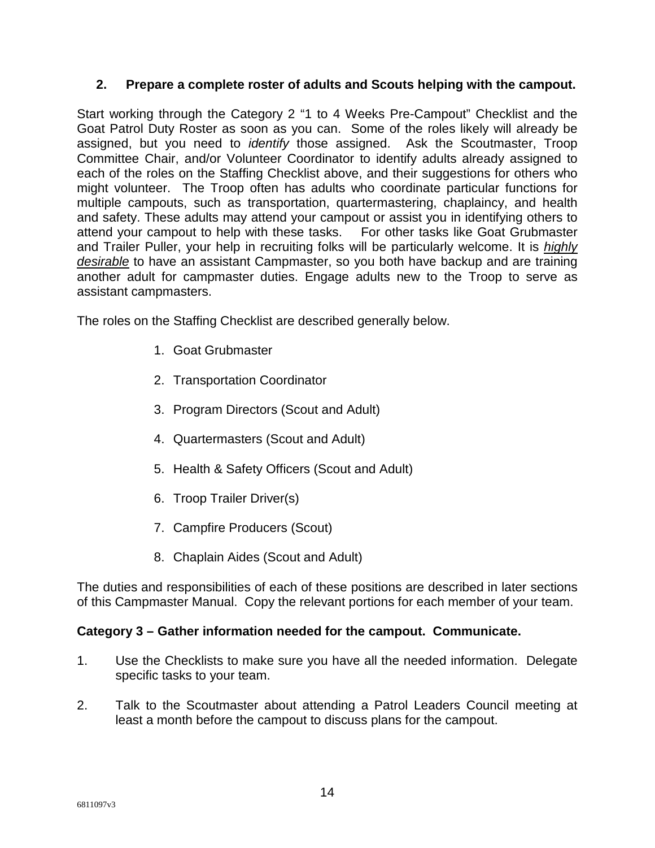## **2. Prepare a complete roster of adults and Scouts helping with the campout.**

Start working through the Category 2 "1 to 4 Weeks Pre-Campout" Checklist and the Goat Patrol Duty Roster as soon as you can. Some of the roles likely will already be assigned, but you need to *identify* those assigned. Ask the Scoutmaster, Troop Committee Chair, and/or Volunteer Coordinator to identify adults already assigned to each of the roles on the Staffing Checklist above, and their suggestions for others who might volunteer. The Troop often has adults who coordinate particular functions for multiple campouts, such as transportation, quartermastering, chaplaincy, and health and safety. These adults may attend your campout or assist you in identifying others to attend your campout to help with these tasks. For other tasks like Goat Grubmaster and Trailer Puller, your help in recruiting folks will be particularly welcome. It is *highly desirable* to have an assistant Campmaster, so you both have backup and are training another adult for campmaster duties. Engage adults new to the Troop to serve as assistant campmasters.

The roles on the Staffing Checklist are described generally below.

- 1. Goat Grubmaster
- 2. Transportation Coordinator
- 3. Program Directors (Scout and Adult)
- 4. Quartermasters (Scout and Adult)
- 5. Health & Safety Officers (Scout and Adult)
- 6. Troop Trailer Driver(s)
- 7. Campfire Producers (Scout)
- 8. Chaplain Aides (Scout and Adult)

The duties and responsibilities of each of these positions are described in later sections of this Campmaster Manual. Copy the relevant portions for each member of your team.

## **Category 3 – Gather information needed for the campout. Communicate.**

- 1. Use the Checklists to make sure you have all the needed information. Delegate specific tasks to your team.
- 2. Talk to the Scoutmaster about attending a Patrol Leaders Council meeting at least a month before the campout to discuss plans for the campout.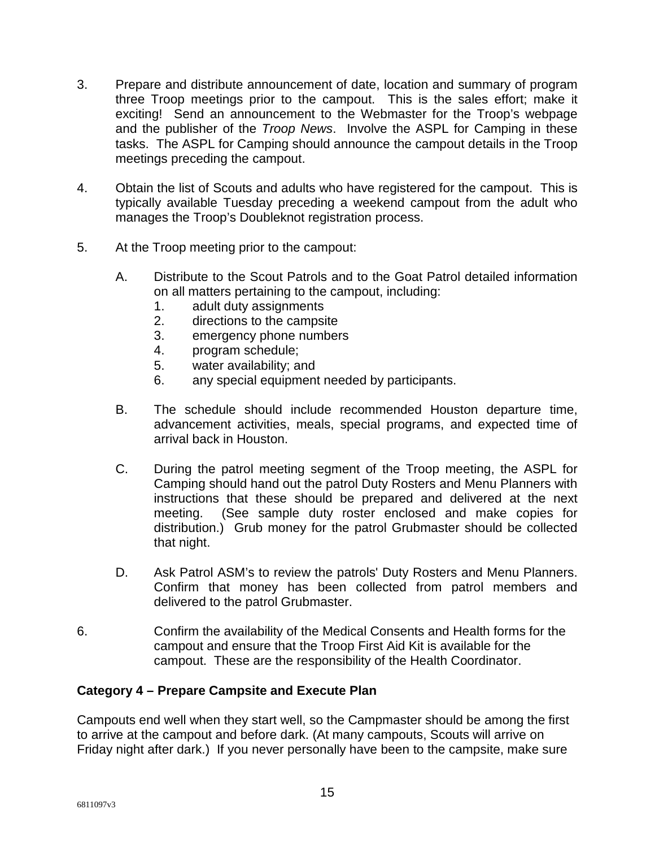- 3. Prepare and distribute announcement of date, location and summary of program three Troop meetings prior to the campout. This is the sales effort; make it exciting! Send an announcement to the Webmaster for the Troop's webpage and the publisher of the *Troop News*. Involve the ASPL for Camping in these tasks. The ASPL for Camping should announce the campout details in the Troop meetings preceding the campout.
- 4. Obtain the list of Scouts and adults who have registered for the campout. This is typically available Tuesday preceding a weekend campout from the adult who manages the Troop's Doubleknot registration process.
- 5. At the Troop meeting prior to the campout:
	- A. Distribute to the Scout Patrols and to the Goat Patrol detailed information on all matters pertaining to the campout, including:
		- 1. adult duty assignments
		- 2. directions to the campsite
		- 3. emergency phone numbers
		- 4. program schedule;
		- 5. water availability; and
		- 6. any special equipment needed by participants.
	- B. The schedule should include recommended Houston departure time, advancement activities, meals, special programs, and expected time of arrival back in Houston.
	- C. During the patrol meeting segment of the Troop meeting, the ASPL for Camping should hand out the patrol Duty Rosters and Menu Planners with instructions that these should be prepared and delivered at the next meeting. (See sample duty roster enclosed and make copies for distribution.) Grub money for the patrol Grubmaster should be collected that night.
	- D. Ask Patrol ASM's to review the patrols' Duty Rosters and Menu Planners. Confirm that money has been collected from patrol members and delivered to the patrol Grubmaster.
- 6. Confirm the availability of the Medical Consents and Health forms for the campout and ensure that the Troop First Aid Kit is available for the campout. These are the responsibility of the Health Coordinator.

#### **Category 4 – Prepare Campsite and Execute Plan**

Campouts end well when they start well, so the Campmaster should be among the first to arrive at the campout and before dark. (At many campouts, Scouts will arrive on Friday night after dark.) If you never personally have been to the campsite, make sure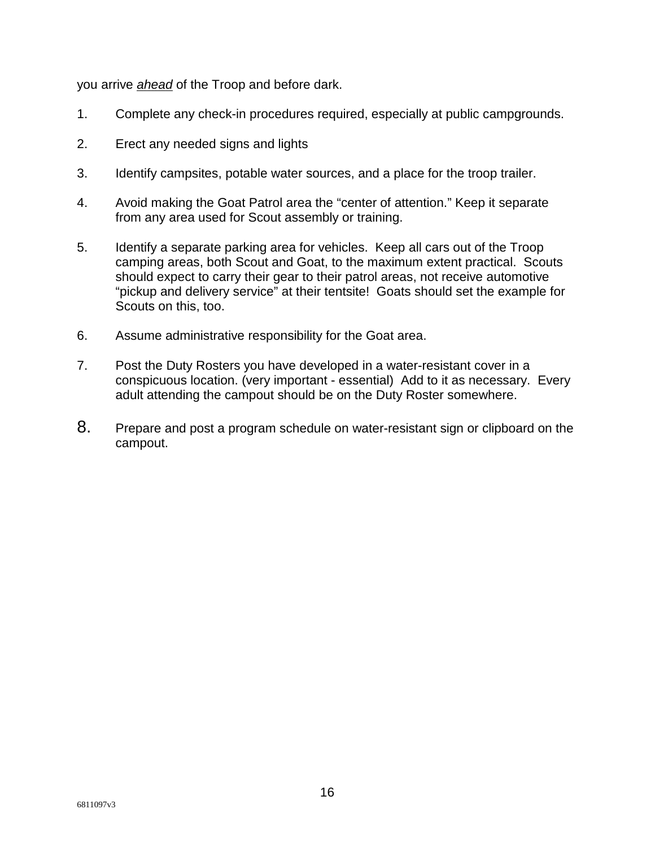you arrive *ahead* of the Troop and before dark.

- 1. Complete any check-in procedures required, especially at public campgrounds.
- 2. Erect any needed signs and lights
- 3. Identify campsites, potable water sources, and a place for the troop trailer.
- 4. Avoid making the Goat Patrol area the "center of attention." Keep it separate from any area used for Scout assembly or training.
- 5. Identify a separate parking area for vehicles. Keep all cars out of the Troop camping areas, both Scout and Goat, to the maximum extent practical. Scouts should expect to carry their gear to their patrol areas, not receive automotive "pickup and delivery service" at their tentsite! Goats should set the example for Scouts on this, too.
- 6. Assume administrative responsibility for the Goat area.
- 7. Post the Duty Rosters you have developed in a water-resistant cover in a conspicuous location. (very important - essential) Add to it as necessary. Every adult attending the campout should be on the Duty Roster somewhere.
- 8. Prepare and post a program schedule on water-resistant sign or clipboard on the campout.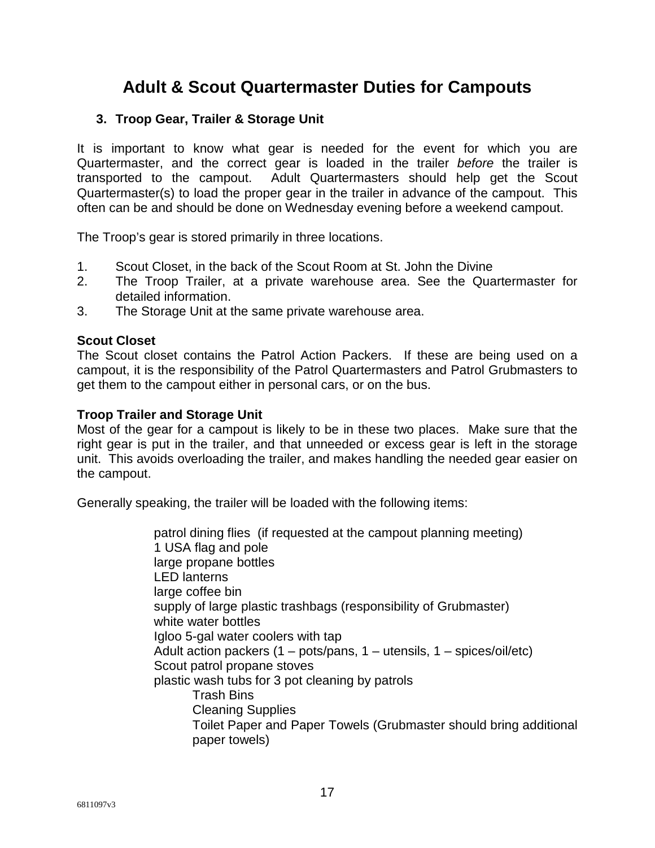# **Adult & Scout Quartermaster Duties for Campouts**

#### **3. Troop Gear, Trailer & Storage Unit**

It is important to know what gear is needed for the event for which you are Quartermaster, and the correct gear is loaded in the trailer *before* the trailer is transported to the campout. Adult Quartermasters should help get the Scout Quartermaster(s) to load the proper gear in the trailer in advance of the campout. This often can be and should be done on Wednesday evening before a weekend campout.

The Troop's gear is stored primarily in three locations.

- 1. Scout Closet, in the back of the Scout Room at St. John the Divine
- 2. The Troop Trailer, at a private warehouse area. See the Quartermaster for detailed information.
- 3. The Storage Unit at the same private warehouse area.

#### **Scout Closet**

The Scout closet contains the Patrol Action Packers. If these are being used on a campout, it is the responsibility of the Patrol Quartermasters and Patrol Grubmasters to get them to the campout either in personal cars, or on the bus.

#### **Troop Trailer and Storage Unit**

Most of the gear for a campout is likely to be in these two places. Make sure that the right gear is put in the trailer, and that unneeded or excess gear is left in the storage unit. This avoids overloading the trailer, and makes handling the needed gear easier on the campout.

Generally speaking, the trailer will be loaded with the following items:

patrol dining flies (if requested at the campout planning meeting) 1 USA flag and pole large propane bottles LED lanterns large coffee bin supply of large plastic trashbags (responsibility of Grubmaster) white water bottles Igloo 5-gal water coolers with tap Adult action packers  $(1 - \text{pots/pans}, 1 - \text{utensils}, 1 - \text{spices/oil/etc})$ Scout patrol propane stoves plastic wash tubs for 3 pot cleaning by patrols Trash Bins Cleaning Supplies Toilet Paper and Paper Towels (Grubmaster should bring additional paper towels)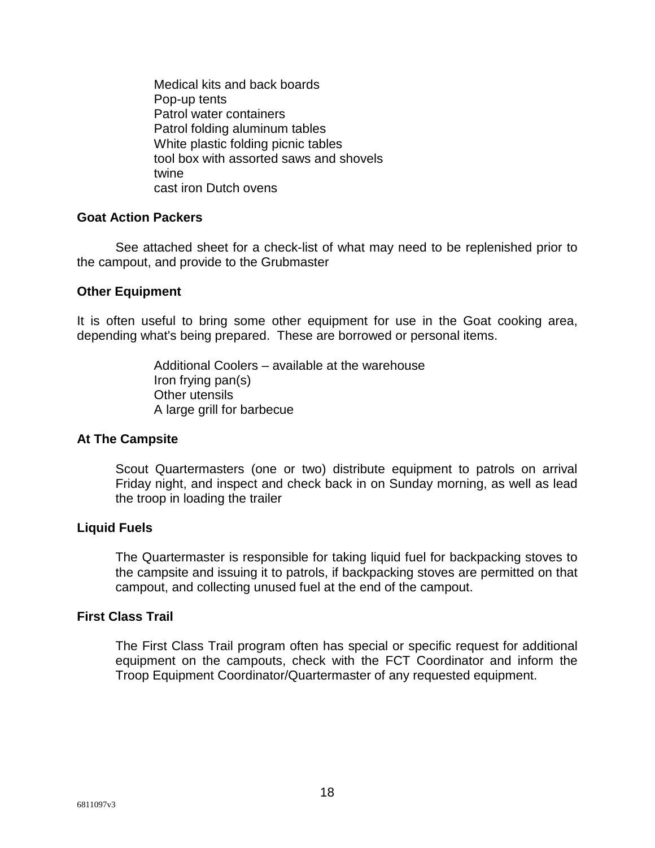Medical kits and back boards Pop-up tents Patrol water containers Patrol folding aluminum tables White plastic folding picnic tables tool box with assorted saws and shovels twine cast iron Dutch ovens

#### **Goat Action Packers**

See attached sheet for a check-list of what may need to be replenished prior to the campout, and provide to the Grubmaster

#### **Other Equipment**

It is often useful to bring some other equipment for use in the Goat cooking area, depending what's being prepared. These are borrowed or personal items.

> Additional Coolers – available at the warehouse Iron frying pan(s) Other utensils A large grill for barbecue

#### **At The Campsite**

Scout Quartermasters (one or two) distribute equipment to patrols on arrival Friday night, and inspect and check back in on Sunday morning, as well as lead the troop in loading the trailer

#### **Liquid Fuels**

The Quartermaster is responsible for taking liquid fuel for backpacking stoves to the campsite and issuing it to patrols, if backpacking stoves are permitted on that campout, and collecting unused fuel at the end of the campout.

#### **First Class Trail**

The First Class Trail program often has special or specific request for additional equipment on the campouts, check with the FCT Coordinator and inform the Troop Equipment Coordinator/Quartermaster of any requested equipment.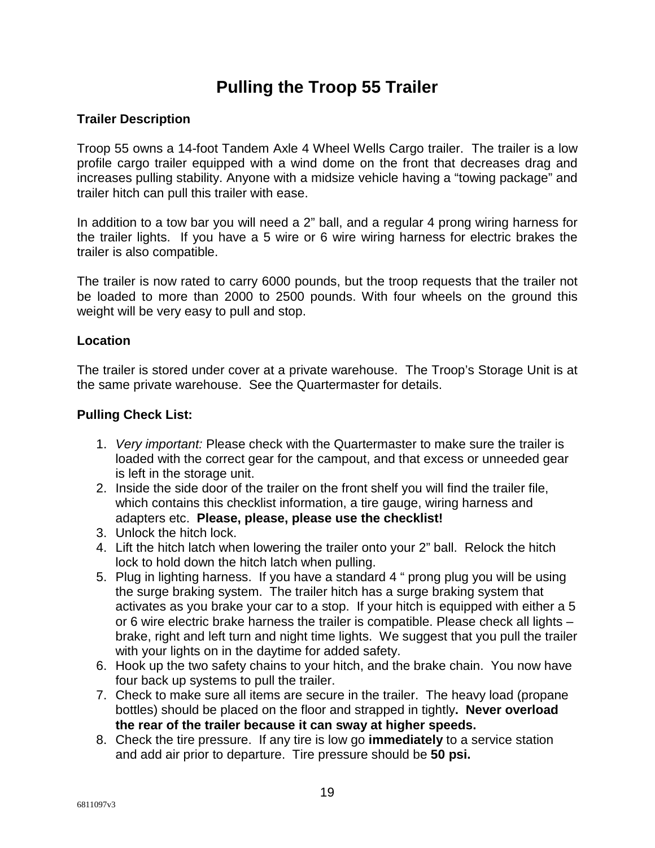# **Pulling the Troop 55 Trailer**

## **Trailer Description**

Troop 55 owns a 14-foot Tandem Axle 4 Wheel Wells Cargo trailer. The trailer is a low profile cargo trailer equipped with a wind dome on the front that decreases drag and increases pulling stability. Anyone with a midsize vehicle having a "towing package" and trailer hitch can pull this trailer with ease.

In addition to a tow bar you will need a 2" ball, and a regular 4 prong wiring harness for the trailer lights. If you have a 5 wire or 6 wire wiring harness for electric brakes the trailer is also compatible.

The trailer is now rated to carry 6000 pounds, but the troop requests that the trailer not be loaded to more than 2000 to 2500 pounds. With four wheels on the ground this weight will be very easy to pull and stop.

#### **Location**

The trailer is stored under cover at a private warehouse. The Troop's Storage Unit is at the same private warehouse. See the Quartermaster for details.

#### **Pulling Check List:**

- 1. *Very important:* Please check with the Quartermaster to make sure the trailer is loaded with the correct gear for the campout, and that excess or unneeded gear is left in the storage unit.
- 2. Inside the side door of the trailer on the front shelf you will find the trailer file, which contains this checklist information, a tire gauge, wiring harness and adapters etc. **Please, please, please use the checklist!**
- 3. Unlock the hitch lock.
- 4. Lift the hitch latch when lowering the trailer onto your 2" ball. Relock the hitch lock to hold down the hitch latch when pulling.
- 5. Plug in lighting harness. If you have a standard 4 " prong plug you will be using the surge braking system. The trailer hitch has a surge braking system that activates as you brake your car to a stop. If your hitch is equipped with either a 5 or 6 wire electric brake harness the trailer is compatible. Please check all lights – brake, right and left turn and night time lights. We suggest that you pull the trailer with your lights on in the daytime for added safety.
- 6. Hook up the two safety chains to your hitch, and the brake chain. You now have four back up systems to pull the trailer.
- 7. Check to make sure all items are secure in the trailer. The heavy load (propane bottles) should be placed on the floor and strapped in tightly**. Never overload the rear of the trailer because it can sway at higher speeds.**
- 8. Check the tire pressure. If any tire is low go **immediately** to a service station and add air prior to departure. Tire pressure should be **50 psi.**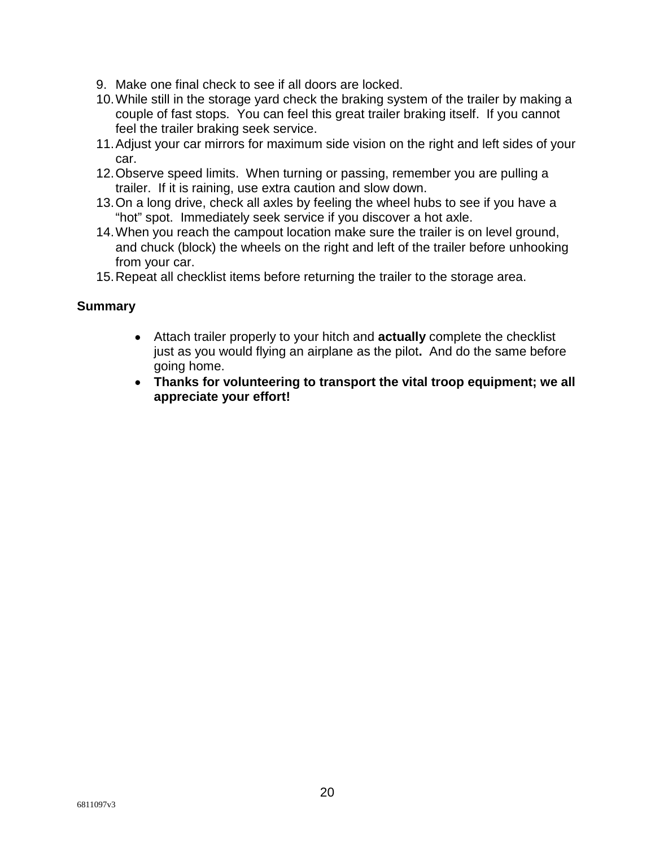- 9. Make one final check to see if all doors are locked.
- 10. While still in the storage yard check the braking system of the trailer by making a couple of fast stops. You can feel this great trailer braking itself. If you cannot feel the trailer braking seek service.
- 11. Adjust your car mirrors for maximum side vision on the right and left sides of your car.
- 12. Observe speed limits. When turning or passing, remember you are pulling a trailer. If it is raining, use extra caution and slow down.
- 13. On a long drive, check all axles by feeling the wheel hubs to see if you have a "hot" spot. Immediately seek service if you discover a hot axle.
- 14. When you reach the campout location make sure the trailer is on level ground, and chuck (block) the wheels on the right and left of the trailer before unhooking from your car.
- 15. Repeat all checklist items before returning the trailer to the storage area.

#### **Summary**

- Attach trailer properly to your hitch and **actually** complete the checklist just as you would flying an airplane as the pilot**.** And do the same before going home.
- **Thanks for volunteering to transport the vital troop equipment; we all appreciate your effort!**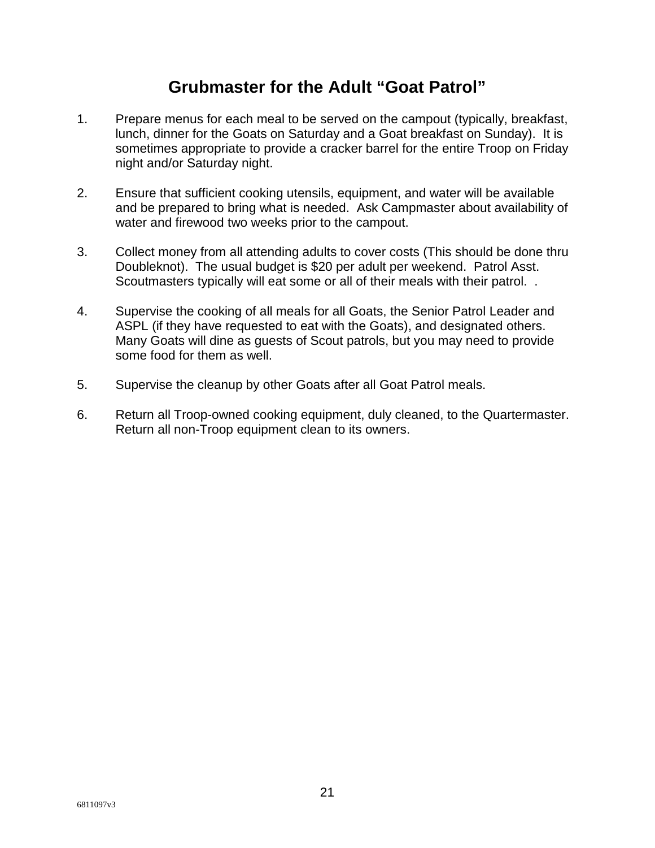# **Grubmaster for the Adult "Goat Patrol"**

- 1. Prepare menus for each meal to be served on the campout (typically, breakfast, lunch, dinner for the Goats on Saturday and a Goat breakfast on Sunday). It is sometimes appropriate to provide a cracker barrel for the entire Troop on Friday night and/or Saturday night.
- 2. Ensure that sufficient cooking utensils, equipment, and water will be available and be prepared to bring what is needed. Ask Campmaster about availability of water and firewood two weeks prior to the campout.
- 3. Collect money from all attending adults to cover costs (This should be done thru Doubleknot). The usual budget is \$20 per adult per weekend. Patrol Asst. Scoutmasters typically will eat some or all of their meals with their patrol. .
- 4. Supervise the cooking of all meals for all Goats, the Senior Patrol Leader and ASPL (if they have requested to eat with the Goats), and designated others. Many Goats will dine as guests of Scout patrols, but you may need to provide some food for them as well.
- 5. Supervise the cleanup by other Goats after all Goat Patrol meals.
- 6. Return all Troop-owned cooking equipment, duly cleaned, to the Quartermaster. Return all non-Troop equipment clean to its owners.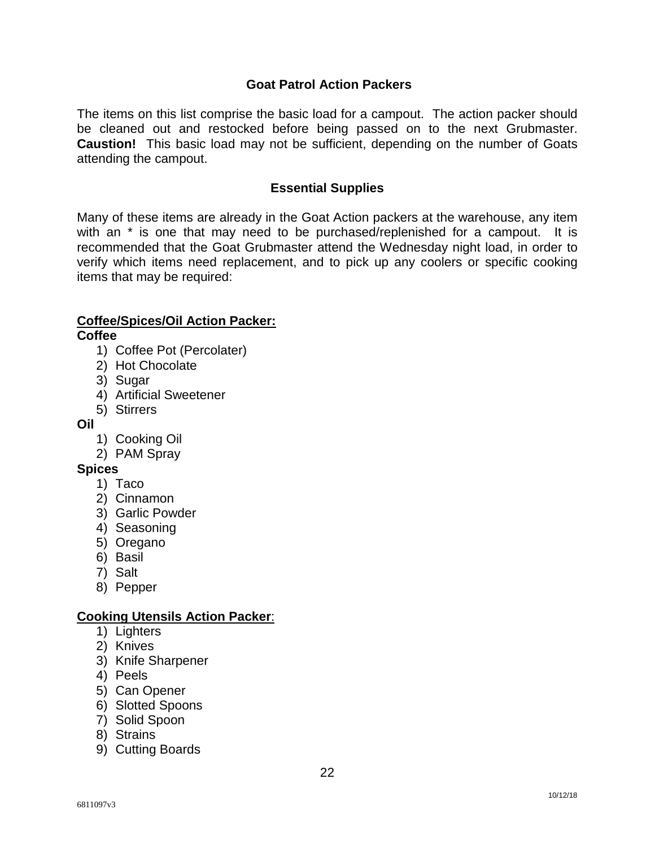#### **Goat Patrol Action Packers**

The items on this list comprise the basic load for a campout. The action packer should be cleaned out and restocked before being passed on to the next Grubmaster. **Caustion!** This basic load may not be sufficient, depending on the number of Goats attending the campout.

#### **Essential Supplies**

Many of these items are already in the Goat Action packers at the warehouse, any item with an  $*$  is one that may need to be purchased/replenished for a campout. It is recommended that the Goat Grubmaster attend the Wednesday night load, in order to verify which items need replacement, and to pick up any coolers or specific cooking items that may be required:

## **Coffee/Spices/Oil Action Packer:**

**Coffee** 

- 1) Coffee Pot (Percolater)
- 2) Hot Chocolate
- 3) Sugar
- 4) Artificial Sweetener
- 5) Stirrers
- **Oil** 
	- 1) Cooking Oil
	- 2) PAM Spray

#### **Spices**

- 1) Taco
- 2) Cinnamon
- 3) Garlic Powder
- 4) Seasoning
- 5) Oregano
- 6) Basil
- 7) Salt
- 8) Pepper

#### **Cooking Utensils Action Packer**:

- 1) Lighters
- 2) Knives
- 3) Knife Sharpener
- 4) Peels
- 5) Can Opener
- 6) Slotted Spoons
- 7) Solid Spoon
- 8) Strains
- 9) Cutting Boards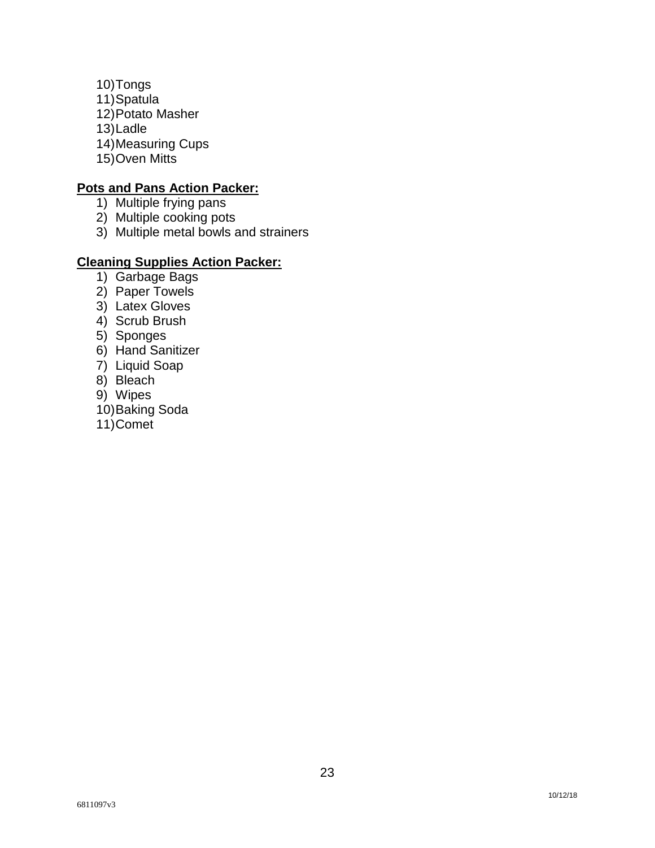10) Tongs 11) Spatula 12) Potato Masher 13) Ladle 14) Measuring Cups 15) Oven Mitts

#### **Pots and Pans Action Packer:**

- 1) Multiple frying pans
- 2) Multiple cooking pots
- 3) Multiple metal bowls and strainers

## **Cleaning Supplies Action Packer:**

- 1) Garbage Bags
- 2) Paper Towels
- 3) Latex Gloves
- 4) Scrub Brush
- 5) Sponges
- 6) Hand Sanitizer
- 7) Liquid Soap
- 8) Bleach
- 9) Wipes
- 10) Baking Soda
- 11) Comet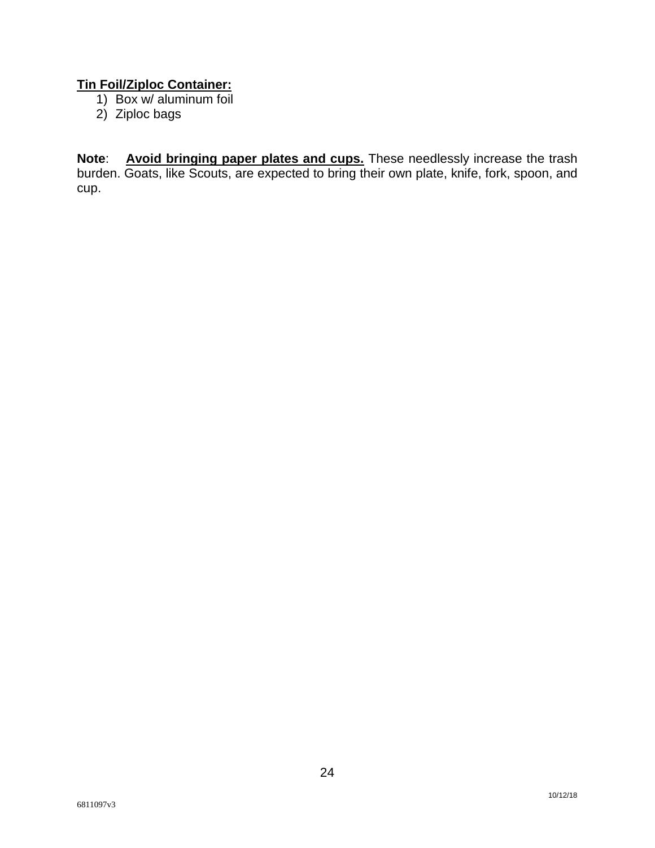## **Tin Foil/Ziploc Container:**

- 1) Box w/ aluminum foil
- 2) Ziploc bags

**Note**: **Avoid bringing paper plates and cups.** These needlessly increase the trash burden. Goats, like Scouts, are expected to bring their own plate, knife, fork, spoon, and cup.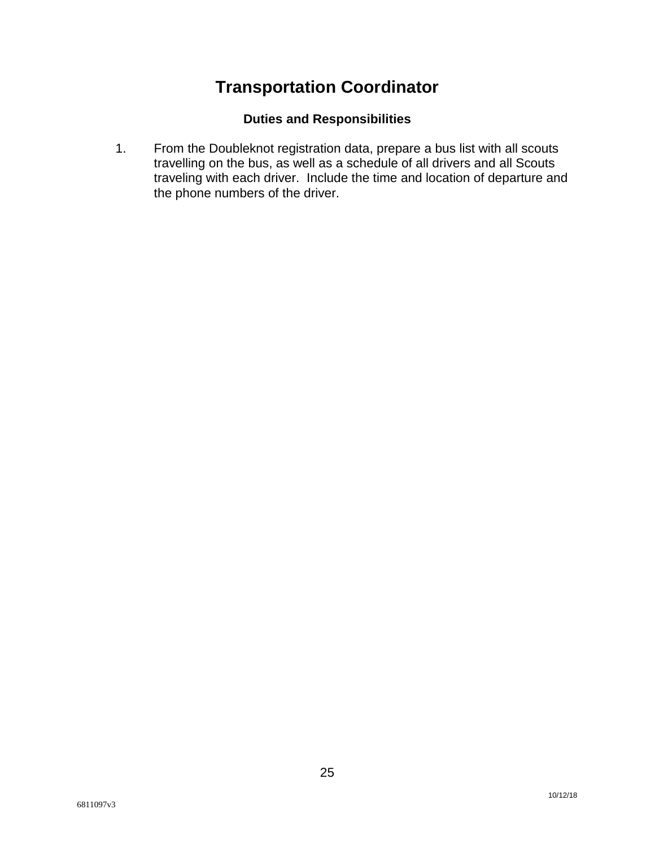# **Transportation Coordinator**

## **Duties and Responsibilities**

1. From the Doubleknot registration data, prepare a bus list with all scouts travelling on the bus, as well as a schedule of all drivers and all Scouts traveling with each driver. Include the time and location of departure and the phone numbers of the driver.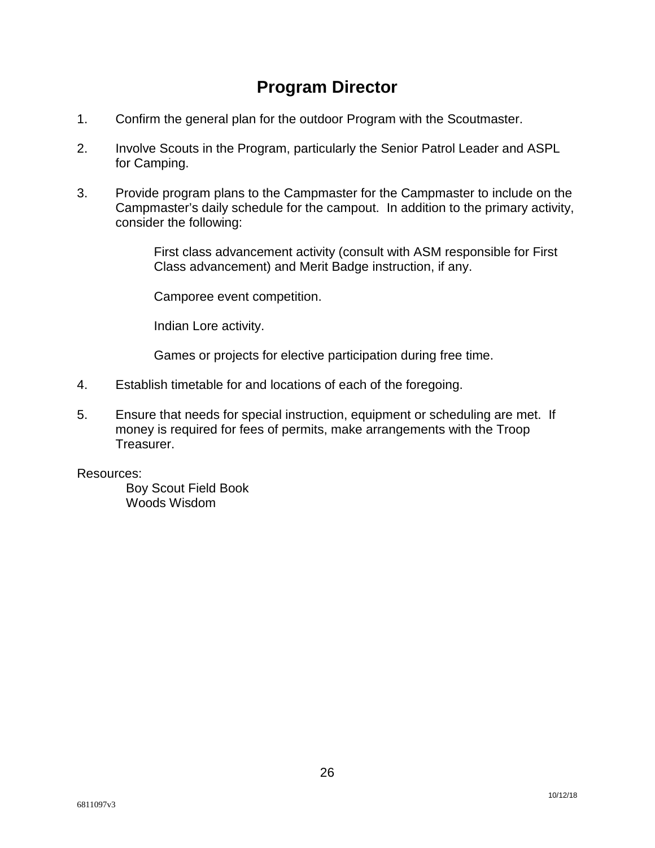# **Program Director**

- 1. Confirm the general plan for the outdoor Program with the Scoutmaster.
- 2. Involve Scouts in the Program, particularly the Senior Patrol Leader and ASPL for Camping.
- 3. Provide program plans to the Campmaster for the Campmaster to include on the Campmaster's daily schedule for the campout. In addition to the primary activity, consider the following:

First class advancement activity (consult with ASM responsible for First Class advancement) and Merit Badge instruction, if any.

Camporee event competition.

Indian Lore activity.

Games or projects for elective participation during free time.

- 4. Establish timetable for and locations of each of the foregoing.
- 5. Ensure that needs for special instruction, equipment or scheduling are met. If money is required for fees of permits, make arrangements with the Troop Treasurer.

#### Resources:

Boy Scout Field Book Woods Wisdom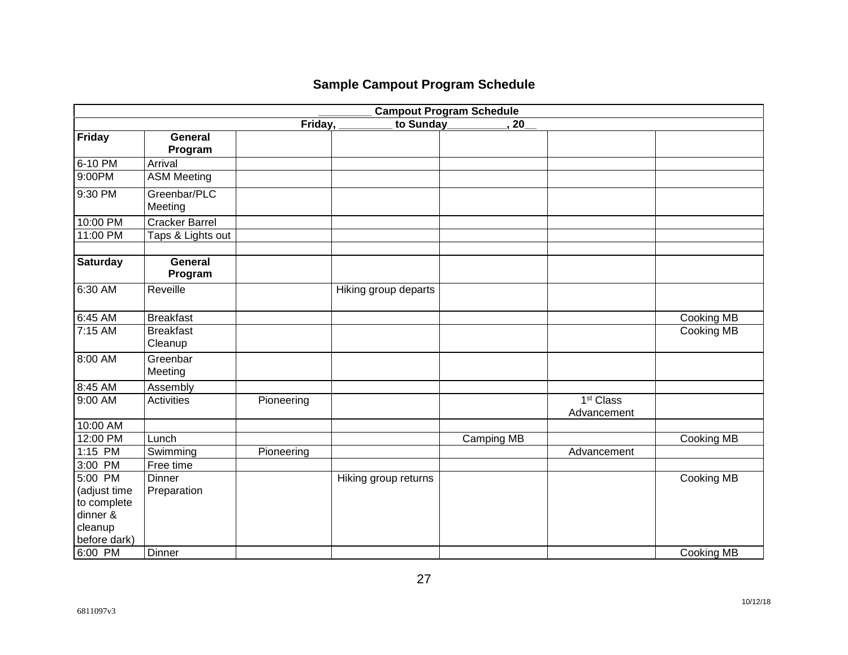# **Sample Campout Program Schedule**

| <b>Campout Program Schedule</b> |                       |            |                      |            |                       |            |  |
|---------------------------------|-----------------------|------------|----------------------|------------|-----------------------|------------|--|
|                                 |                       | Friday,    | to Sunday            | 20         |                       |            |  |
| <b>Friday</b>                   | <b>General</b>        |            |                      |            |                       |            |  |
|                                 | Program               |            |                      |            |                       |            |  |
| 6-10 PM                         | Arrival               |            |                      |            |                       |            |  |
| 9:00PM                          | <b>ASM Meeting</b>    |            |                      |            |                       |            |  |
| 9:30 PM                         | Greenbar/PLC          |            |                      |            |                       |            |  |
|                                 | Meeting               |            |                      |            |                       |            |  |
| 10:00 PM                        | <b>Cracker Barrel</b> |            |                      |            |                       |            |  |
| 11:00 PM                        | Taps & Lights out     |            |                      |            |                       |            |  |
|                                 | <b>General</b>        |            |                      |            |                       |            |  |
| <b>Saturday</b>                 | Program               |            |                      |            |                       |            |  |
| $6:30$ AM                       | Reveille              |            | Hiking group departs |            |                       |            |  |
| 6:45 AM                         | <b>Breakfast</b>      |            |                      |            |                       | Cooking MB |  |
| 7:15 AM                         | <b>Breakfast</b>      |            |                      |            |                       | Cooking MB |  |
|                                 | Cleanup               |            |                      |            |                       |            |  |
| 8:00 AM                         | Greenbar              |            |                      |            |                       |            |  |
|                                 | Meeting               |            |                      |            |                       |            |  |
| 8:45 AM                         | Assembly              |            |                      |            |                       |            |  |
| 9:00 AM                         | <b>Activities</b>     | Pioneering |                      |            | 1 <sup>st</sup> Class |            |  |
|                                 |                       |            |                      |            | Advancement           |            |  |
| 10:00 AM                        |                       |            |                      |            |                       |            |  |
| 12:00 PM                        | Lunch                 |            |                      | Camping MB |                       | Cooking MB |  |
| 1:15 PM                         | Swimming              | Pioneering |                      |            | Advancement           |            |  |
| 3:00 PM                         | Free time             |            |                      |            |                       |            |  |
| 5:00 PM                         | <b>Dinner</b>         |            | Hiking group returns |            |                       | Cooking MB |  |
| (adjust time                    | Preparation           |            |                      |            |                       |            |  |
| to complete                     |                       |            |                      |            |                       |            |  |
| dinner &                        |                       |            |                      |            |                       |            |  |
| cleanup                         |                       |            |                      |            |                       |            |  |
| before dark)                    |                       |            |                      |            |                       |            |  |
| 6:00 PM                         | Dinner                |            |                      |            |                       | Cooking MB |  |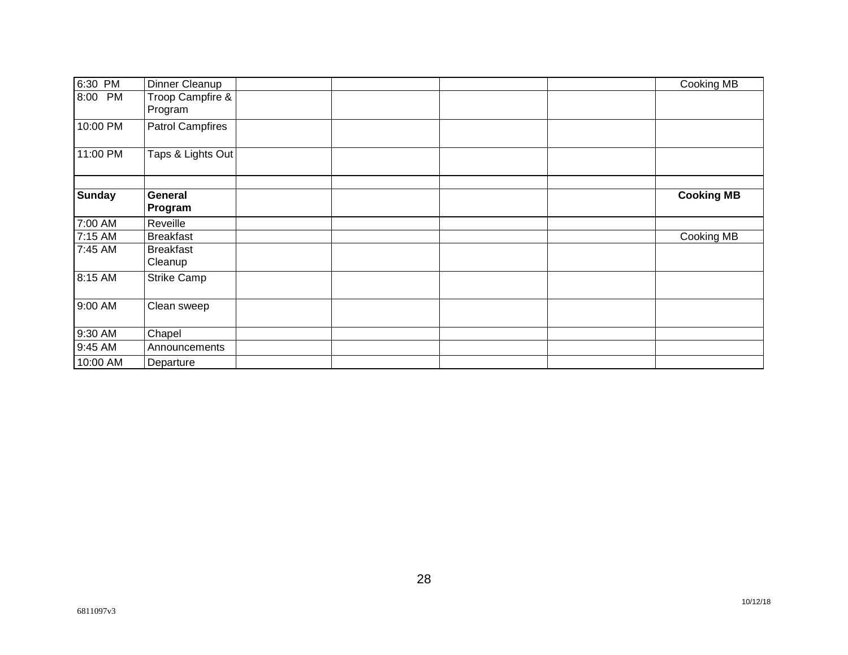| 6:30 PM       | Dinner Cleanup              |  |  | Cooking MB        |
|---------------|-----------------------------|--|--|-------------------|
| PM<br>8:00    | Troop Campfire &<br>Program |  |  |                   |
| 10:00 PM      | <b>Patrol Campfires</b>     |  |  |                   |
| 11:00 PM      | Taps & Lights Out           |  |  |                   |
| <b>Sunday</b> | General                     |  |  | <b>Cooking MB</b> |
|               | Program                     |  |  |                   |
| 7:00 AM       | Reveille                    |  |  |                   |
| 7:15 AM       | <b>Breakfast</b>            |  |  | Cooking MB        |
| 7:45 AM       | <b>Breakfast</b><br>Cleanup |  |  |                   |
| 8:15 AM       | <b>Strike Camp</b>          |  |  |                   |
| 9:00 AM       | Clean sweep                 |  |  |                   |
| 9:30 AM       | Chapel                      |  |  |                   |
| 9:45 AM       | Announcements               |  |  |                   |
| 10:00 AM      | Departure                   |  |  |                   |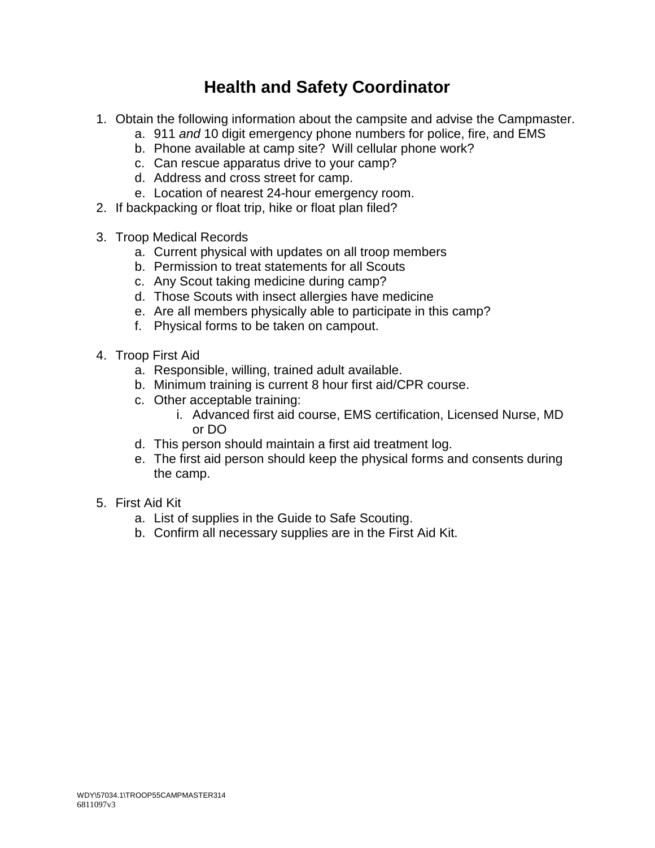# **Health and Safety Coordinator**

- 1. Obtain the following information about the campsite and advise the Campmaster.
	- a. 911 *and* 10 digit emergency phone numbers for police, fire, and EMS
	- b. Phone available at camp site? Will cellular phone work?
	- c. Can rescue apparatus drive to your camp?
	- d. Address and cross street for camp.
	- e. Location of nearest 24-hour emergency room.
- 2. If backpacking or float trip, hike or float plan filed?
- 3. Troop Medical Records
	- a. Current physical with updates on all troop members
	- b. Permission to treat statements for all Scouts
	- c. Any Scout taking medicine during camp?
	- d. Those Scouts with insect allergies have medicine
	- e. Are all members physically able to participate in this camp?
	- f. Physical forms to be taken on campout.
- 4. Troop First Aid
	- a. Responsible, willing, trained adult available.
	- b. Minimum training is current 8 hour first aid/CPR course.
	- c. Other acceptable training:
		- i. Advanced first aid course, EMS certification, Licensed Nurse, MD or DO
	- d. This person should maintain a first aid treatment log.
	- e. The first aid person should keep the physical forms and consents during the camp.
- 5. First Aid Kit
	- a. List of supplies in the Guide to Safe Scouting.
	- b. Confirm all necessary supplies are in the First Aid Kit.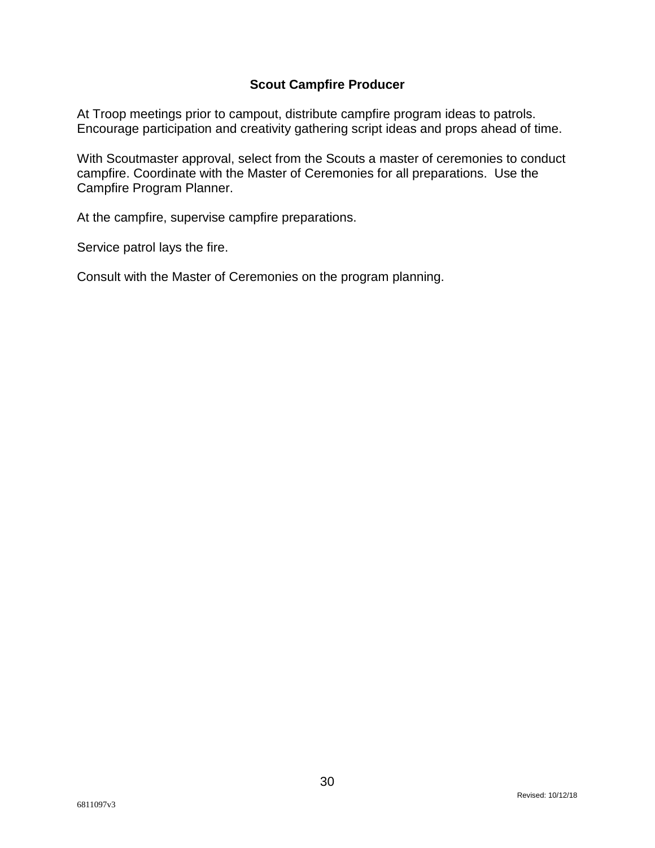## **Scout Campfire Producer**

At Troop meetings prior to campout, distribute campfire program ideas to patrols. Encourage participation and creativity gathering script ideas and props ahead of time.

With Scoutmaster approval, select from the Scouts a master of ceremonies to conduct campfire. Coordinate with the Master of Ceremonies for all preparations. Use the Campfire Program Planner.

At the campfire, supervise campfire preparations.

Service patrol lays the fire.

Consult with the Master of Ceremonies on the program planning.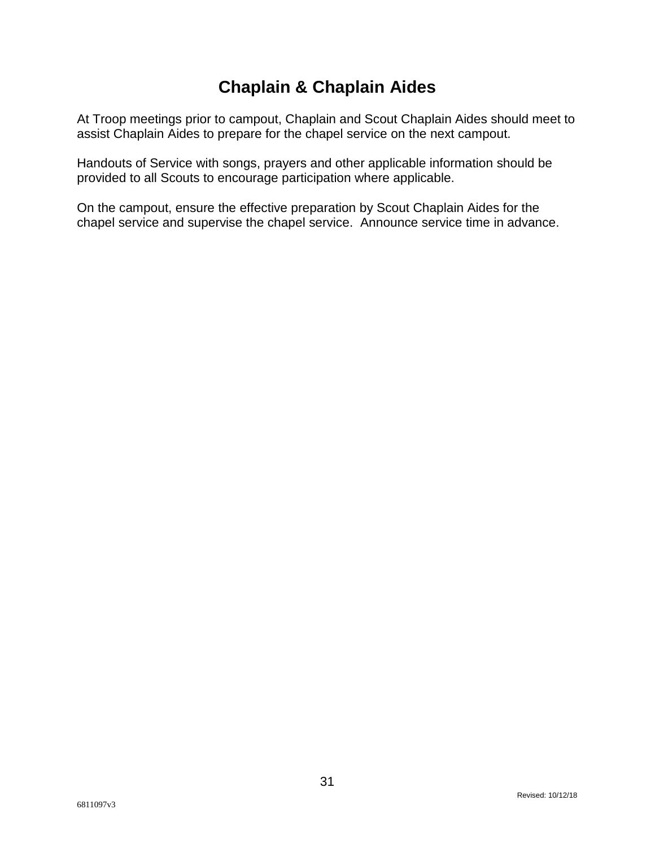# **Chaplain & Chaplain Aides**

At Troop meetings prior to campout, Chaplain and Scout Chaplain Aides should meet to assist Chaplain Aides to prepare for the chapel service on the next campout.

Handouts of Service with songs, prayers and other applicable information should be provided to all Scouts to encourage participation where applicable.

On the campout, ensure the effective preparation by Scout Chaplain Aides for the chapel service and supervise the chapel service. Announce service time in advance.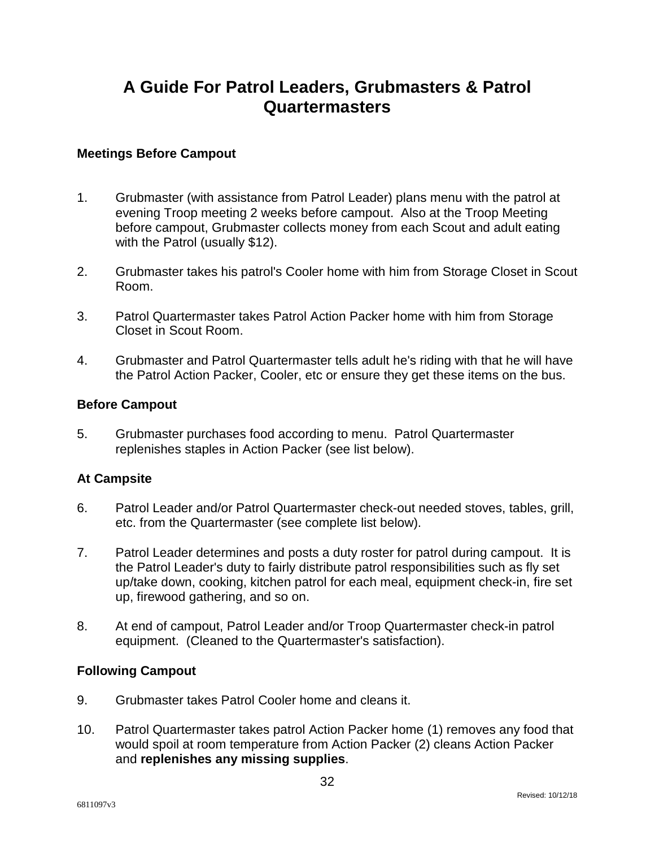# **A Guide For Patrol Leaders, Grubmasters & Patrol Quartermasters**

#### **Meetings Before Campout**

- 1. Grubmaster (with assistance from Patrol Leader) plans menu with the patrol at evening Troop meeting 2 weeks before campout. Also at the Troop Meeting before campout, Grubmaster collects money from each Scout and adult eating with the Patrol (usually \$12).
- 2. Grubmaster takes his patrol's Cooler home with him from Storage Closet in Scout Room.
- 3. Patrol Quartermaster takes Patrol Action Packer home with him from Storage Closet in Scout Room.
- 4. Grubmaster and Patrol Quartermaster tells adult he's riding with that he will have the Patrol Action Packer, Cooler, etc or ensure they get these items on the bus.

#### **Before Campout**

5. Grubmaster purchases food according to menu. Patrol Quartermaster replenishes staples in Action Packer (see list below).

#### **At Campsite**

- 6. Patrol Leader and/or Patrol Quartermaster check-out needed stoves, tables, grill, etc. from the Quartermaster (see complete list below).
- 7. Patrol Leader determines and posts a duty roster for patrol during campout. It is the Patrol Leader's duty to fairly distribute patrol responsibilities such as fly set up/take down, cooking, kitchen patrol for each meal, equipment check-in, fire set up, firewood gathering, and so on.
- 8. At end of campout, Patrol Leader and/or Troop Quartermaster check-in patrol equipment. (Cleaned to the Quartermaster's satisfaction).

## **Following Campout**

- 9. Grubmaster takes Patrol Cooler home and cleans it.
- 10. Patrol Quartermaster takes patrol Action Packer home (1) removes any food that would spoil at room temperature from Action Packer (2) cleans Action Packer and **replenishes any missing supplies**.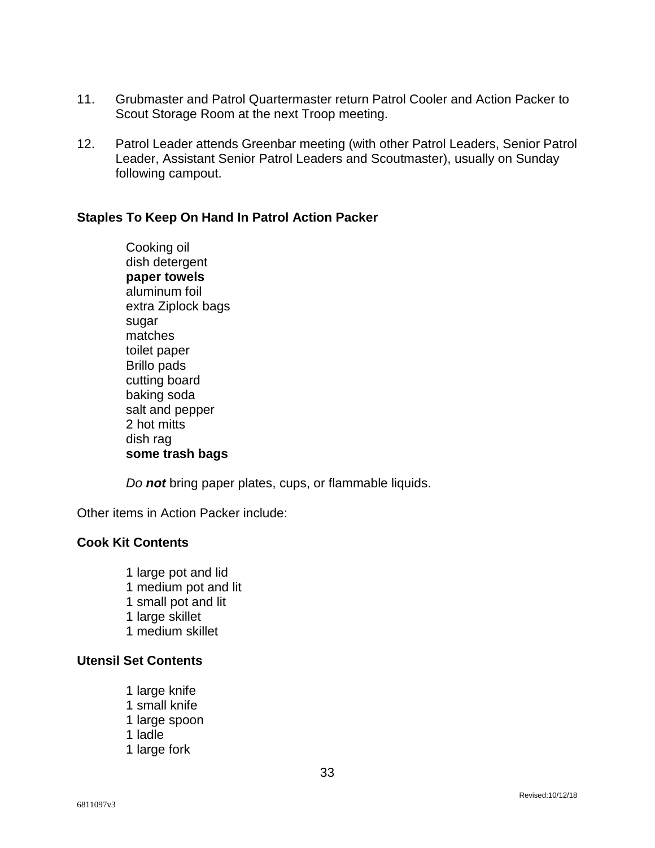- 11. Grubmaster and Patrol Quartermaster return Patrol Cooler and Action Packer to Scout Storage Room at the next Troop meeting.
- 12. Patrol Leader attends Greenbar meeting (with other Patrol Leaders, Senior Patrol Leader, Assistant Senior Patrol Leaders and Scoutmaster), usually on Sunday following campout.

#### **Staples To Keep On Hand In Patrol Action Packer**

Cooking oil dish detergent **paper towels**  aluminum foil extra Ziplock bags sugar matches toilet paper Brillo pads cutting board baking soda salt and pepper 2 hot mitts dish rag **some trash bags** 

*Do not* bring paper plates, cups, or flammable liquids.

Other items in Action Packer include:

#### **Cook Kit Contents**

1 large pot and lid 1 medium pot and lit 1 small pot and lit 1 large skillet 1 medium skillet

## **Utensil Set Contents**

1 large knife 1 small knife 1 large spoon 1 ladle 1 large fork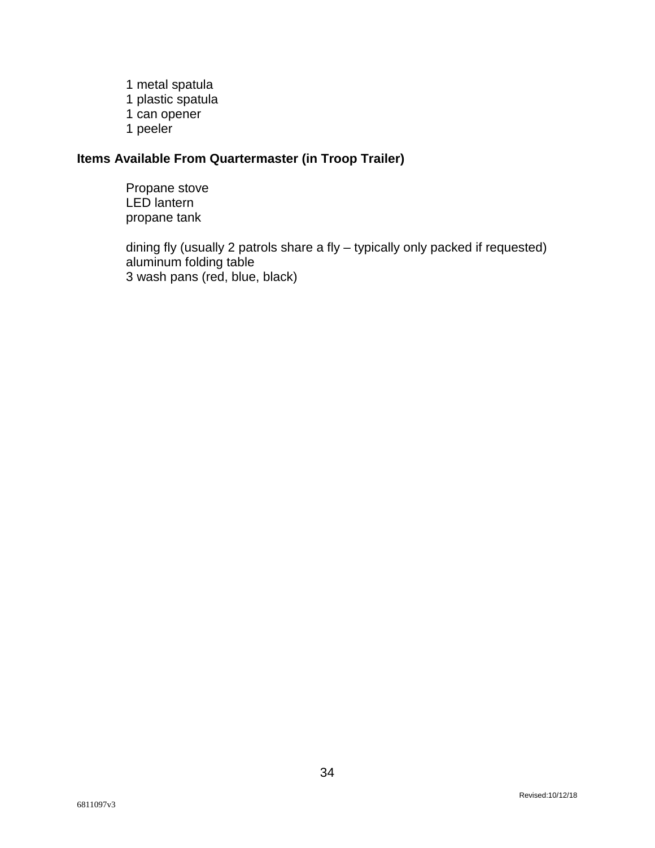1 metal spatula 1 plastic spatula 1 can opener 1 peeler

## **Items Available From Quartermaster (in Troop Trailer)**

Propane stove LED lantern propane tank

dining fly (usually 2 patrols share a fly – typically only packed if requested) aluminum folding table 3 wash pans (red, blue, black)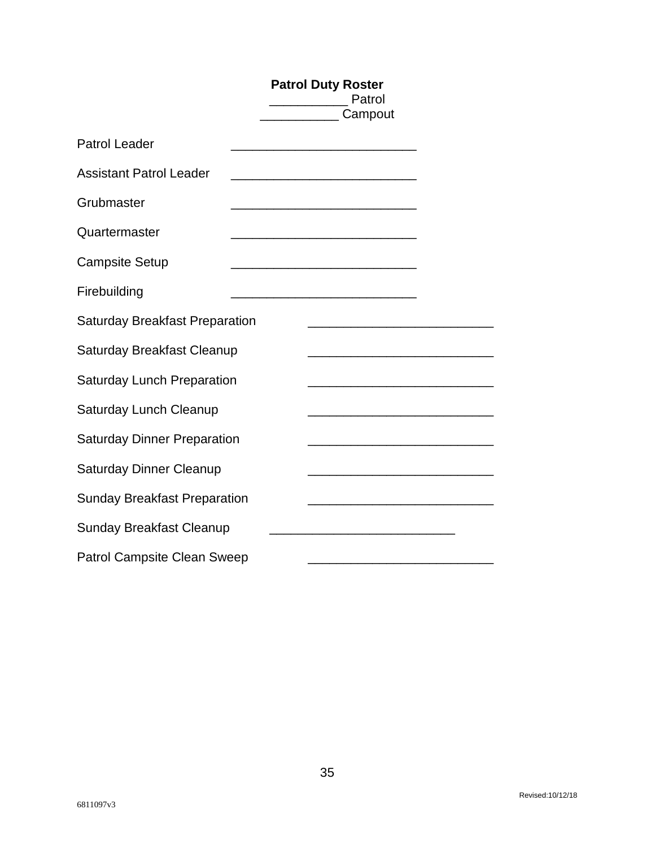|                                       | <b>Patrol Duty Roster</b><br>Patrol<br>Campout                                                                        |
|---------------------------------------|-----------------------------------------------------------------------------------------------------------------------|
| <b>Patrol Leader</b>                  | <u> 1989 - Johann Barn, mars ann an t-Amhain an t-Amhain an t-Amhain an t-Amhain an t-Amhain an t-Amhain an t-Amh</u> |
| <b>Assistant Patrol Leader</b>        |                                                                                                                       |
| Grubmaster                            |                                                                                                                       |
| Quartermaster                         | <u> 1989 - Johann Barn, mars and de Branch Barn, mars and de Branch Barn, mars and de Branch Barn, mars and de Br</u> |
| <b>Campsite Setup</b>                 |                                                                                                                       |
| Firebuilding                          |                                                                                                                       |
| <b>Saturday Breakfast Preparation</b> |                                                                                                                       |
| Saturday Breakfast Cleanup            |                                                                                                                       |
| <b>Saturday Lunch Preparation</b>     | <u> 1980 - Johann John Stone, mars et al. (</u>                                                                       |
| Saturday Lunch Cleanup                |                                                                                                                       |
| <b>Saturday Dinner Preparation</b>    | the control of the control of the control of the control of the control of the control of                             |
| <b>Saturday Dinner Cleanup</b>        |                                                                                                                       |
| <b>Sunday Breakfast Preparation</b>   |                                                                                                                       |
| <b>Sunday Breakfast Cleanup</b>       |                                                                                                                       |
| <b>Patrol Campsite Clean Sweep</b>    |                                                                                                                       |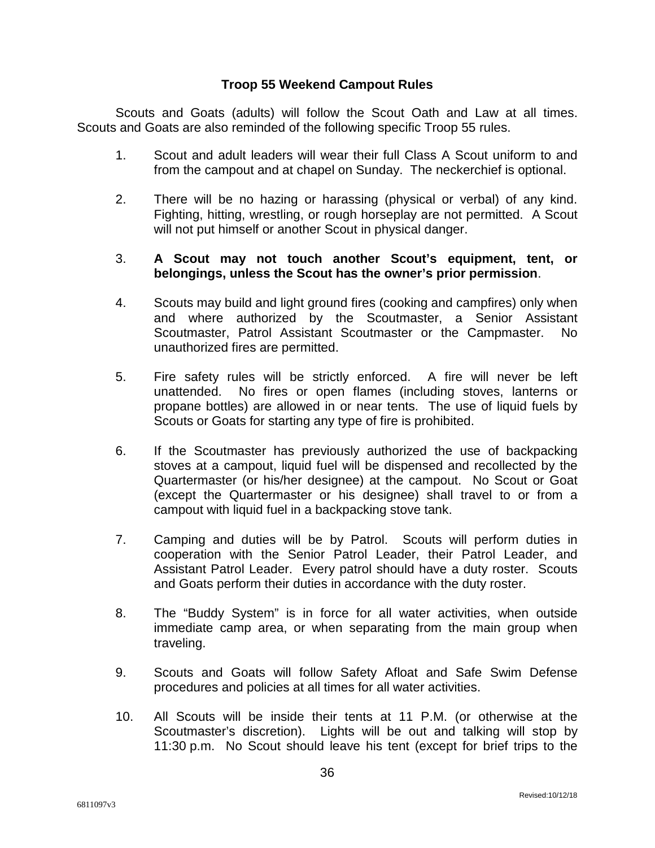#### **Troop 55 Weekend Campout Rules**

Scouts and Goats (adults) will follow the Scout Oath and Law at all times. Scouts and Goats are also reminded of the following specific Troop 55 rules.

- 1. Scout and adult leaders will wear their full Class A Scout uniform to and from the campout and at chapel on Sunday. The neckerchief is optional.
- 2. There will be no hazing or harassing (physical or verbal) of any kind. Fighting, hitting, wrestling, or rough horseplay are not permitted. A Scout will not put himself or another Scout in physical danger.

#### 3. **A Scout may not touch another Scout's equipment, tent, or belongings, unless the Scout has the owner's prior permission**.

- 4. Scouts may build and light ground fires (cooking and campfires) only when and where authorized by the Scoutmaster, a Senior Assistant Scoutmaster, Patrol Assistant Scoutmaster or the Campmaster. No unauthorized fires are permitted.
- 5. Fire safety rules will be strictly enforced. A fire will never be left unattended. No fires or open flames (including stoves, lanterns or propane bottles) are allowed in or near tents. The use of liquid fuels by Scouts or Goats for starting any type of fire is prohibited.
- 6. If the Scoutmaster has previously authorized the use of backpacking stoves at a campout, liquid fuel will be dispensed and recollected by the Quartermaster (or his/her designee) at the campout. No Scout or Goat (except the Quartermaster or his designee) shall travel to or from a campout with liquid fuel in a backpacking stove tank.
- 7. Camping and duties will be by Patrol. Scouts will perform duties in cooperation with the Senior Patrol Leader, their Patrol Leader, and Assistant Patrol Leader. Every patrol should have a duty roster. Scouts and Goats perform their duties in accordance with the duty roster.
- 8. The "Buddy System" is in force for all water activities, when outside immediate camp area, or when separating from the main group when traveling.
- 9. Scouts and Goats will follow Safety Afloat and Safe Swim Defense procedures and policies at all times for all water activities.
- 10. All Scouts will be inside their tents at 11 P.M. (or otherwise at the Scoutmaster's discretion). Lights will be out and talking will stop by 11:30 p.m. No Scout should leave his tent (except for brief trips to the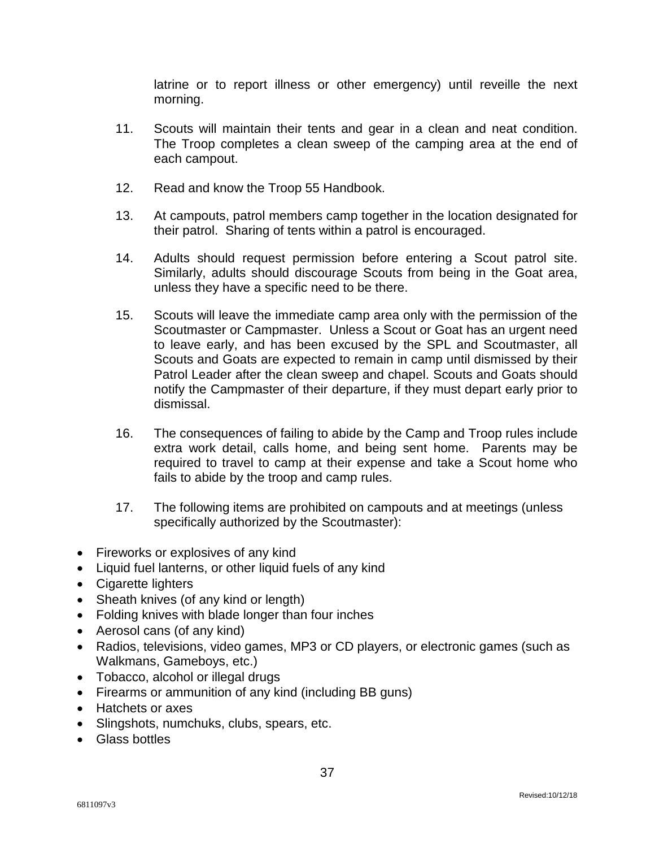latrine or to report illness or other emergency) until reveille the next morning.

- 11. Scouts will maintain their tents and gear in a clean and neat condition. The Troop completes a clean sweep of the camping area at the end of each campout.
- 12. Read and know the Troop 55 Handbook.
- 13. At campouts, patrol members camp together in the location designated for their patrol. Sharing of tents within a patrol is encouraged.
- 14. Adults should request permission before entering a Scout patrol site. Similarly, adults should discourage Scouts from being in the Goat area, unless they have a specific need to be there.
- 15. Scouts will leave the immediate camp area only with the permission of the Scoutmaster or Campmaster. Unless a Scout or Goat has an urgent need to leave early, and has been excused by the SPL and Scoutmaster, all Scouts and Goats are expected to remain in camp until dismissed by their Patrol Leader after the clean sweep and chapel. Scouts and Goats should notify the Campmaster of their departure, if they must depart early prior to dismissal.
- 16. The consequences of failing to abide by the Camp and Troop rules include extra work detail, calls home, and being sent home. Parents may be required to travel to camp at their expense and take a Scout home who fails to abide by the troop and camp rules.
- 17. The following items are prohibited on campouts and at meetings (unless specifically authorized by the Scoutmaster):
- Fireworks or explosives of any kind
- Liquid fuel lanterns, or other liquid fuels of any kind
- Cigarette lighters
- Sheath knives (of any kind or length)
- Folding knives with blade longer than four inches
- Aerosol cans (of any kind)
- Radios, televisions, video games, MP3 or CD players, or electronic games (such as Walkmans, Gameboys, etc.)
- Tobacco, alcohol or illegal drugs
- Firearms or ammunition of any kind (including BB guns)
- Hatchets or axes
- Slingshots, numchuks, clubs, spears, etc.
- Glass bottles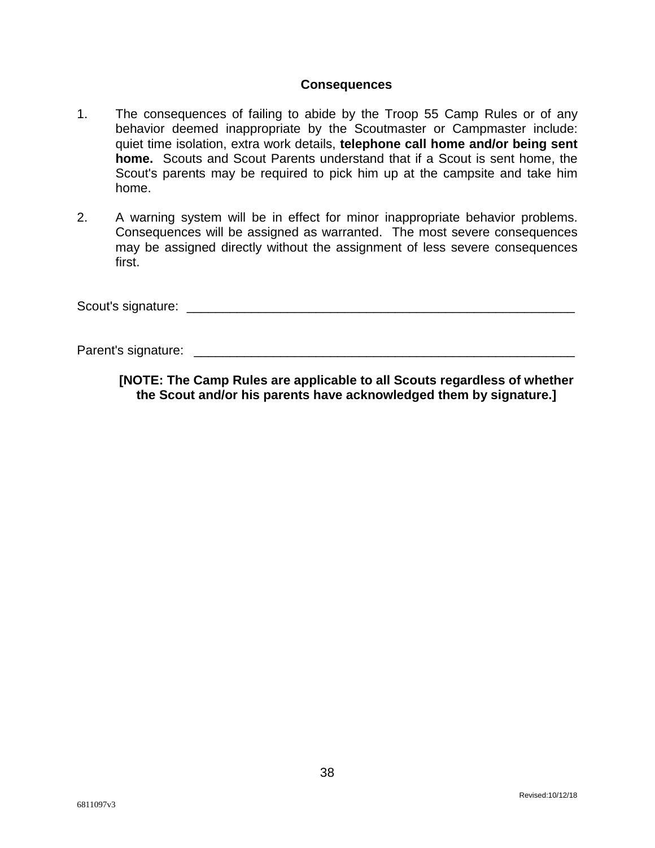#### **Consequences**

- 1. The consequences of failing to abide by the Troop 55 Camp Rules or of any behavior deemed inappropriate by the Scoutmaster or Campmaster include: quiet time isolation, extra work details, **telephone call home and/or being sent home.** Scouts and Scout Parents understand that if a Scout is sent home, the Scout's parents may be required to pick him up at the campsite and take him home.
- 2. A warning system will be in effect for minor inappropriate behavior problems. Consequences will be assigned as warranted. The most severe consequences may be assigned directly without the assignment of less severe consequences first.

Scout's signature:  $\overline{\phantom{a}}$ 

Parent's signature: \_\_\_\_\_\_\_\_\_\_\_\_\_\_\_\_\_\_\_\_\_\_\_\_\_\_\_\_\_\_\_\_\_\_\_\_\_\_\_\_\_\_\_\_\_\_\_\_\_\_\_\_\_

**[NOTE: The Camp Rules are applicable to all Scouts regardless of whether the Scout and/or his parents have acknowledged them by signature.]**